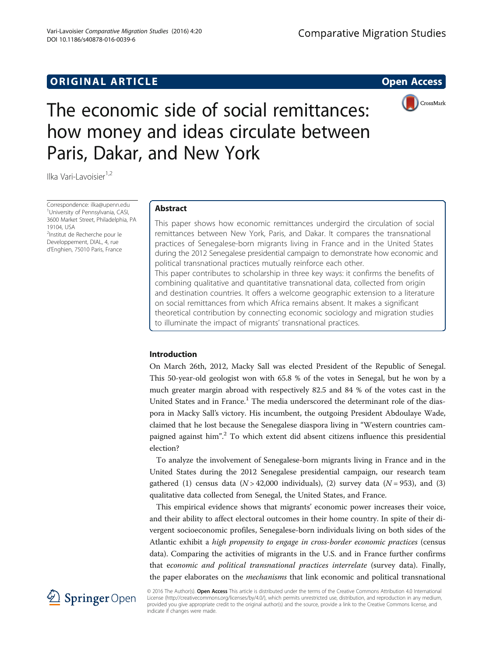# **ORIGINAL ARTICLE CONSERVANCE IN A LOCAL CONSERVANCE IN A LOCAL CONSERVANCE IN A LOCAL CONSERVANCE IN A LOCAL CONSERVANCE IN A LOCAL CONSERVANCE IN A LOCAL CONSERVANCE IN A LOCAL CONSERVANCE IN A LOCAL CONSERVANCE IN A L**



# The economic side of social remittances: how money and ideas circulate between Paris, Dakar, and New York

Ilka Vari-Lavoisier<sup>1,2</sup>

Correspondence: [ilka@upenn.edu](mailto:ilka@upenn.edu) <sup>1</sup> <sup>1</sup>University of Pennsylvania, CASI, 3600 Market Street, Philadelphia, PA 19104, USA <sup>2</sup>Institut de Recherche pour le Developpement, DIAL, 4, rue d'Enghien, 75010 Paris, France

# Abstract

This paper shows how economic remittances undergird the circulation of social remittances between New York, Paris, and Dakar. It compares the transnational practices of Senegalese-born migrants living in France and in the United States during the 2012 Senegalese presidential campaign to demonstrate how economic and political transnational practices mutually reinforce each other. This paper contributes to scholarship in three key ways: it confirms the benefits of combining qualitative and quantitative transnational data, collected from origin and destination countries. It offers a welcome geographic extension to a literature on social remittances from which Africa remains absent. It makes a significant theoretical contribution by connecting economic sociology and migration studies

to illuminate the impact of migrants' transnational practices.

# Introduction

On March 26th, 2012, Macky Sall was elected President of the Republic of Senegal. This 50-year-old geologist won with 65.8 % of the votes in Senegal, but he won by a much greater margin abroad with respectively 82.5 and 84 % of the votes cast in the United States and in France.<sup>1</sup> The media underscored the determinant role of the diaspora in Macky Sall's victory. His incumbent, the outgoing President Abdoulaye Wade, claimed that he lost because the Senegalese diaspora living in "Western countries campaigned against him".<sup>2</sup> To which extent did absent citizens influence this presidential election?

To analyze the involvement of Senegalese-born migrants living in France and in the United States during the 2012 Senegalese presidential campaign, our research team gathered (1) census data ( $N > 42,000$  individuals), (2) survey data ( $N = 953$ ), and (3) qualitative data collected from Senegal, the United States, and France.

This empirical evidence shows that migrants' economic power increases their voice, and their ability to affect electoral outcomes in their home country. In spite of their divergent socioeconomic profiles, Senegalese-born individuals living on both sides of the Atlantic exhibit a high propensity to engage in cross-border economic practices (census data). Comparing the activities of migrants in the U.S. and in France further confirms that economic and political transnational practices interrelate (survey data). Finally, the paper elaborates on the *mechanisms* that link economic and political transnational



© 2016 The Author(s). Open Access This article is distributed under the terms of the Creative Commons Attribution 4.0 International License [\(http://creativecommons.org/licenses/by/4.0/](http://creativecommons.org/licenses/by/4.0/)), which permits unrestricted use, distribution, and reproduction in any medium, provided you give appropriate credit to the original author(s) and the source, provide a link to the Creative Commons license, and indicate if changes were made.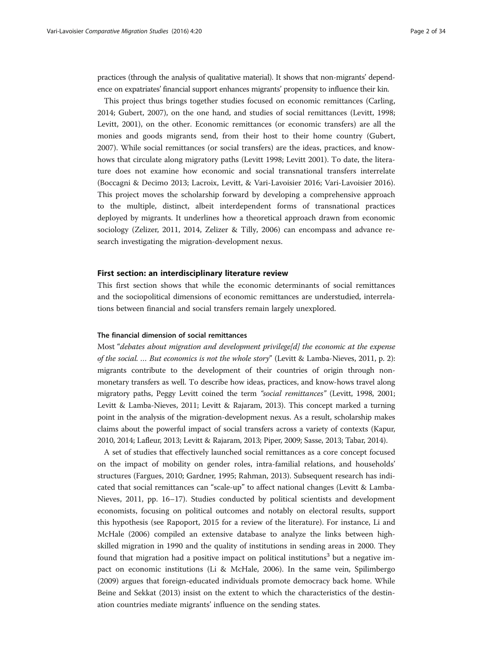practices (through the analysis of qualitative material). It shows that non-migrants' dependence on expatriates' financial support enhances migrants' propensity to influence their kin.

This project thus brings together studies focused on economic remittances (Carling, [2014](#page-31-0); Gubert, [2007\)](#page-31-0), on the one hand, and studies of social remittances (Levitt, [1998](#page-32-0); Levitt, [2001\)](#page-32-0), on the other. Economic remittances (or economic transfers) are all the monies and goods migrants send, from their host to their home country (Gubert, [2007](#page-31-0)). While social remittances (or social transfers) are the ideas, practices, and knowhows that circulate along migratory paths (Levitt [1998;](#page-32-0) Levitt [2001](#page-32-0)). To date, the literature does not examine how economic and social transnational transfers interrelate (Boccagni & Decimo [2013](#page-31-0); Lacroix, Levitt, & Vari-Lavoisier [2016;](#page-32-0) Vari-Lavoisier [2016](#page-33-0)). This project moves the scholarship forward by developing a comprehensive approach to the multiple, distinct, albeit interdependent forms of transnational practices deployed by migrants. It underlines how a theoretical approach drawn from economic sociology (Zelizer, [2011, 2014,](#page-33-0) Zelizer & Tilly, [2006\)](#page-33-0) can encompass and advance research investigating the migration-development nexus.

## First section: an interdisciplinary literature review

This first section shows that while the economic determinants of social remittances and the sociopolitical dimensions of economic remittances are understudied, interrelations between financial and social transfers remain largely unexplored.

## The financial dimension of social remittances

Most "debates about migration and development privilege[d] the economic at the expense of the social. … But economics is not the whole story" (Levitt & Lamba-Nieves, [2011,](#page-32-0) p. 2): migrants contribute to the development of their countries of origin through nonmonetary transfers as well. To describe how ideas, practices, and know-hows travel along migratory paths, Peggy Levitt coined the term "social remittances" (Levitt, [1998, 2001](#page-32-0); Levitt & Lamba-Nieves, [2011](#page-32-0); Levitt & Rajaram, [2013\)](#page-32-0). This concept marked a turning point in the analysis of the migration-development nexus. As a result, scholarship makes claims about the powerful impact of social transfers across a variety of contexts (Kapur, [2010, 2014;](#page-32-0) Lafleur, [2013](#page-32-0); Levitt & Rajaram, [2013](#page-32-0); Piper, [2009;](#page-32-0) Sasse, [2013;](#page-33-0) Tabar, [2014](#page-33-0)).

A set of studies that effectively launched social remittances as a core concept focused on the impact of mobility on gender roles, intra-familial relations, and households' structures (Fargues, [2010](#page-31-0); Gardner, [1995](#page-31-0); Rahman, [2013\)](#page-33-0). Subsequent research has indicated that social remittances can "scale-up" to affect national changes (Levitt & Lamba-Nieves, [2011](#page-32-0), pp. 16–17). Studies conducted by political scientists and development economists, focusing on political outcomes and notably on electoral results, support this hypothesis (see Rapoport, [2015](#page-33-0) for a review of the literature). For instance, Li and McHale (2006) compiled an extensive database to analyze the links between highskilled migration in 1990 and the quality of institutions in sending areas in 2000. They found that migration had a positive impact on political institutions<sup>3</sup> but a negative impact on economic institutions (Li & McHale, [2006\)](#page-32-0). In the same vein, Spilimbergo ([2009](#page-33-0)) argues that foreign-educated individuals promote democracy back home. While Beine and Sekkat [\(2013\)](#page-31-0) insist on the extent to which the characteristics of the destination countries mediate migrants' influence on the sending states.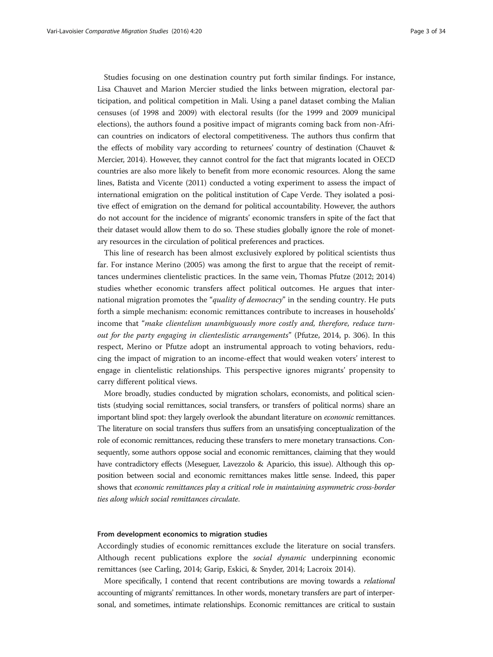Studies focusing on one destination country put forth similar findings. For instance, Lisa Chauvet and Marion Mercier studied the links between migration, electoral participation, and political competition in Mali. Using a panel dataset combing the Malian censuses (of 1998 and 2009) with electoral results (for the 1999 and 2009 municipal elections), the authors found a positive impact of migrants coming back from non-African countries on indicators of electoral competitiveness. The authors thus confirm that the effects of mobility vary according to returnees' country of destination (Chauvet & Mercier, [2014\)](#page-31-0). However, they cannot control for the fact that migrants located in OECD countries are also more likely to benefit from more economic resources. Along the same lines, Batista and Vicente [\(2011\)](#page-30-0) conducted a voting experiment to assess the impact of international emigration on the political institution of Cape Verde. They isolated a positive effect of emigration on the demand for political accountability. However, the authors do not account for the incidence of migrants' economic transfers in spite of the fact that their dataset would allow them to do so. These studies globally ignore the role of monetary resources in the circulation of political preferences and practices.

This line of research has been almost exclusively explored by political scientists thus far. For instance Merino [\(2005\)](#page-32-0) was among the first to argue that the receipt of remittances undermines clientelistic practices. In the same vein, Thomas Pfutze ([2012;](#page-32-0) 2014) studies whether economic transfers affect political outcomes. He argues that international migration promotes the "quality of democracy" in the sending country. He puts forth a simple mechanism: economic remittances contribute to increases in households' income that "make clientelism unambiguously more costly and, therefore, reduce turnout for the party engaging in clienteslistic arrangements" (Pfutze, [2014,](#page-32-0) p. 306). In this respect, Merino or Pfutze adopt an instrumental approach to voting behaviors, reducing the impact of migration to an income-effect that would weaken voters' interest to engage in clientelistic relationships. This perspective ignores migrants' propensity to carry different political views.

More broadly, studies conducted by migration scholars, economists, and political scientists (studying social remittances, social transfers, or transfers of political norms) share an important blind spot: they largely overlook the abundant literature on economic remittances. The literature on social transfers thus suffers from an unsatisfying conceptualization of the role of economic remittances, reducing these transfers to mere monetary transactions. Consequently, some authors oppose social and economic remittances, claiming that they would have contradictory effects (Meseguer, Lavezzolo & Aparicio, this issue). Although this opposition between social and economic remittances makes little sense. Indeed, this paper shows that economic remittances play a critical role in maintaining asymmetric cross-border ties along which social remittances circulate.

#### From development economics to migration studies

Accordingly studies of economic remittances exclude the literature on social transfers. Although recent publications explore the social dynamic underpinning economic remittances (see Carling, [2014;](#page-31-0) Garip, Eskici, & Snyder, [2014;](#page-31-0) Lacroix [2014](#page-32-0)).

More specifically, I contend that recent contributions are moving towards a relational accounting of migrants' remittances. In other words, monetary transfers are part of interpersonal, and sometimes, intimate relationships. Economic remittances are critical to sustain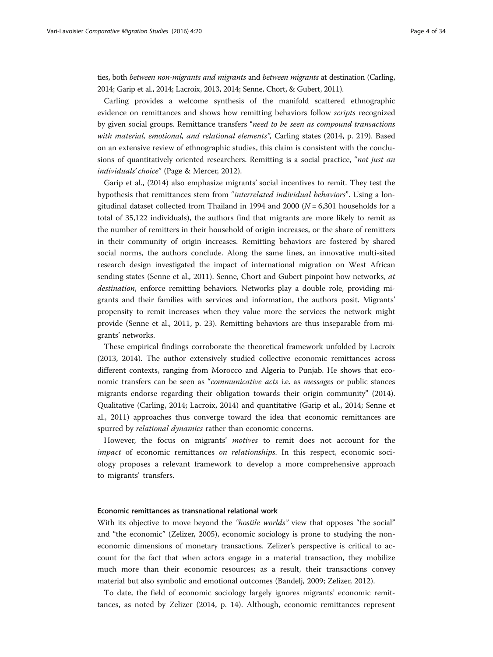ties, both between non-migrants and migrants and between migrants at destination (Carling, [2014;](#page-31-0) Garip et al., [2014;](#page-31-0) Lacroix, [2013](#page-32-0), [2014;](#page-32-0) Senne, Chort, & Gubert, [2011](#page-33-0)).

Carling provides a welcome synthesis of the manifold scattered ethnographic evidence on remittances and shows how remitting behaviors follow scripts recognized by given social groups. Remittance transfers "need to be seen as compound transactions with material, emotional, and relational elements", Carling states [\(2014](#page-31-0), p. 219). Based on an extensive review of ethnographic studies, this claim is consistent with the conclusions of quantitatively oriented researchers. Remitting is a social practice, "*not just an* individuals' choice" (Page & Mercer, [2012\)](#page-32-0).

Garip et al., [\(2014\)](#page-31-0) also emphasize migrants' social incentives to remit. They test the hypothesis that remittances stem from "interrelated individual behaviors". Using a longitudinal dataset collected from Thailand in 1994 and 2000 ( $N = 6,301$  households for a total of 35,122 individuals), the authors find that migrants are more likely to remit as the number of remitters in their household of origin increases, or the share of remitters in their community of origin increases. Remitting behaviors are fostered by shared social norms, the authors conclude. Along the same lines, an innovative multi-sited research design investigated the impact of international migration on West African sending states (Senne et al., [2011](#page-33-0)). Senne, Chort and Gubert pinpoint how networks, at destination, enforce remitting behaviors. Networks play a double role, providing migrants and their families with services and information, the authors posit. Migrants' propensity to remit increases when they value more the services the network might provide (Senne et al., [2011,](#page-33-0) p. 23). Remitting behaviors are thus inseparable from migrants' networks.

These empirical findings corroborate the theoretical framework unfolded by Lacroix ([2013](#page-32-0), [2014\)](#page-32-0). The author extensively studied collective economic remittances across different contexts, ranging from Morocco and Algeria to Punjab. He shows that economic transfers can be seen as "communicative acts i.e. as messages or public stances migrants endorse regarding their obligation towards their origin community" (2014). Qualitative (Carling, [2014](#page-31-0); Lacroix, [2014](#page-32-0)) and quantitative (Garip et al., [2014;](#page-31-0) Senne et al., [2011](#page-33-0)) approaches thus converge toward the idea that economic remittances are spurred by *relational dynamics* rather than economic concerns.

However, the focus on migrants' motives to remit does not account for the impact of economic remittances on relationships. In this respect, economic sociology proposes a relevant framework to develop a more comprehensive approach to migrants' transfers.

# Economic remittances as transnational relational work

With its objective to move beyond the "*hostile worlds*" view that opposes "the social" and "the economic" (Zelizer, [2005\)](#page-33-0), economic sociology is prone to studying the noneconomic dimensions of monetary transactions. Zelizer's perspective is critical to account for the fact that when actors engage in a material transaction, they mobilize much more than their economic resources; as a result, their transactions convey material but also symbolic and emotional outcomes (Bandelj, [2009;](#page-30-0) Zelizer, [2012\)](#page-33-0).

To date, the field of economic sociology largely ignores migrants' economic remittances, as noted by Zelizer [\(2014,](#page-33-0) p. 14). Although, economic remittances represent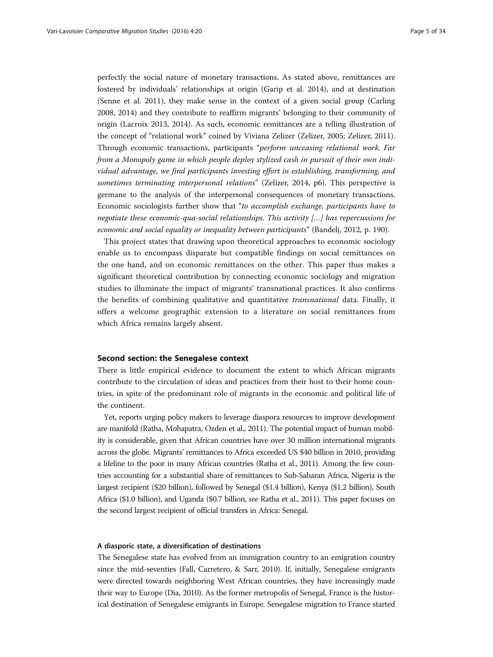perfectly the social nature of monetary transactions. As stated above, remittances are fostered by individuals' relationships at origin (Garip et al. [2014](#page-31-0)), and at destination (Senne et al. [2011\)](#page-33-0), they make sense in the context of a given social group (Carling [2008](#page-31-0), [2014](#page-31-0)) and they contribute to reaffirm migrants' belonging to their community of origin (Lacroix [2013](#page-32-0), [2014](#page-32-0)). As such, economic remittances are a telling illustration of the concept of "relational work" coined by Viviana Zelizer (Zelizer, [2005;](#page-33-0) Zelizer, [2011](#page-33-0)). Through economic transactions, participants "perform unceasing relational work. Far from a Monopoly game in which people deploy stylized cash in pursuit of their own individual advantage, we find participants investing effort in establishing, transforming, and sometimes terminating interpersonal relations" (Zelizer, [2014,](#page-33-0) p6). This perspective is germane to the analysis of the interpersonal consequences of monetary transactions. Economic sociologists further show that "to accomplish exchange, participants have to negotiate these economic-qua-social relationships. This activity […] has repercussions for economic and social equality or inequality between participants" (Bandelj, [2012](#page-30-0), p. 190).

This project states that drawing upon theoretical approaches to economic sociology enable us to encompass disparate but compatible findings on social remittances on the one hand, and on economic remittances on the other. This paper thus makes a significant theoretical contribution by connecting economic sociology and migration studies to illuminate the impact of migrants' transnational practices. It also confirms the benefits of combining qualitative and quantitative transnational data. Finally, it offers a welcome geographic extension to a literature on social remittances from which Africa remains largely absent.

## Second section: the Senegalese context

There is little empirical evidence to document the extent to which African migrants contribute to the circulation of ideas and practices from their host to their home countries, in spite of the predominant role of migrants in the economic and political life of the continent.

Yet, reports urging policy makers to leverage diaspora resources to improve development are manifold (Ratha, Mohapatra, Ozden et al., [2011](#page-33-0)). The potential impact of human mobility is considerable, given that African countries have over 30 million international migrants across the globe. Migrants' remittances to Africa exceeded US \$40 billion in 2010, providing a lifeline to the poor in many African countries (Ratha et al., [2011](#page-33-0)). Among the few countries accounting for a substantial share of remittances to Sub-Saharan Africa, Nigeria is the largest recipient (\$20 billion), followed by Senegal (\$1.4 billion), Kenya (\$1.2 billion), South Africa (\$1.0 billion), and Uganda (\$0.7 billion, see Ratha et al., [2011\)](#page-33-0). This paper focuses on the second largest recipient of official transfers in Africa: Senegal.

# A diasporic state, a diversification of destinations

The Senegalese state has evolved from an immigration country to an emigration country since the mid-seventies (Fall, Carretero, & Sarr, [2010\)](#page-31-0). If, initially, Senegalese emigrants were directed towards neighboring West African countries, they have increasingly made their way to Europe (Dia, [2010](#page-31-0)). As the former metropolis of Senegal, France is the historical destination of Senegalese emigrants in Europe. Senegalese migration to France started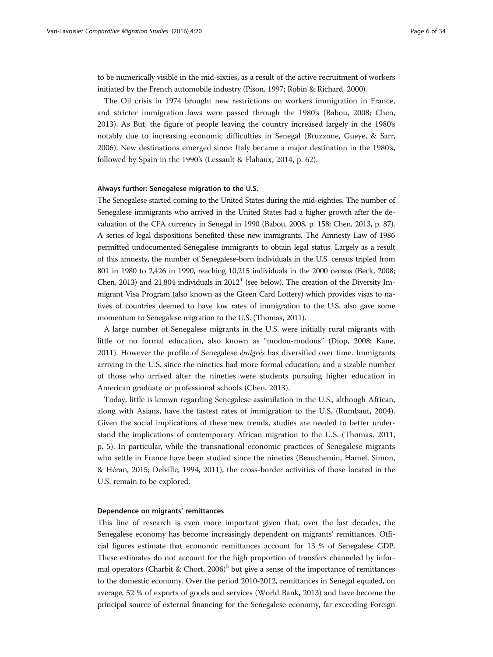to be numerically visible in the mid-sixties, as a result of the active recruitment of workers initiated by the French automobile industry (Pison, [1997;](#page-32-0) Robin & Richard, [2000\)](#page-33-0).

The Oil crisis in 1974 brought new restrictions on workers immigration in France, and stricter immigration laws were passed through the 1980's (Babou, [2008;](#page-30-0) Chen, [2013](#page-31-0)). As But, the figure of people leaving the country increased largely in the 1980's notably due to increasing economic difficulties in Senegal (Bruzzone, Gueye, & Sarr, [2006](#page-31-0)). New destinations emerged since: Italy became a major destination in the 1980's, followed by Spain in the 1990's (Lessault & Flahaux, [2014,](#page-32-0) p. 62).

#### Always further: Senegalese migration to the U.S.

The Senegalese started coming to the United States during the mid-eighties. The number of Senegalese immigrants who arrived in the United States had a higher growth after the devaluation of the CFA currency in Senegal in 1990 (Babou, [2008,](#page-30-0) p. 158; Chen, [2013,](#page-31-0) p. 87). A series of legal dispositions benefited these new immigrants. The Amnesty Law of 1986 permitted undocumented Senegalese immigrants to obtain legal status. Largely as a result of this amnesty, the number of Senegalese-born individuals in the U.S. census tripled from 801 in 1980 to 2,426 in 1990, reaching 10,215 individuals in the 2000 census (Beck, [2008](#page-31-0); Chen, [2013\)](#page-31-0) and 21,804 individuals in  $2012<sup>4</sup>$  (see below). The creation of the Diversity Immigrant Visa Program (also known as the Green Card Lottery) which provides visas to natives of countries deemed to have low rates of immigration to the U.S. also gave some momentum to Senegalese migration to the U.S. (Thomas, [2011\)](#page-33-0).

A large number of Senegalese migrants in the U.S. were initially rural migrants with little or no formal education, also known as "modou-modous" (Diop, [2008](#page-31-0); Kane, [2011](#page-32-0)). However the profile of Senegalese *émigrés* has diversified over time. Immigrants arriving in the U.S. since the nineties had more formal education; and a sizable number of those who arrived after the nineties were students pursuing higher education in American graduate or professional schools (Chen, [2013](#page-31-0)).

Today, little is known regarding Senegalese assimilation in the U.S., although African, along with Asians, have the fastest rates of immigration to the U.S. (Rumbaut, [2004](#page-33-0)). Given the social implications of these new trends, studies are needed to better understand the implications of contemporary African migration to the U.S. (Thomas, [2011](#page-33-0), p. 5). In particular, while the transnational economic practices of Senegalese migrants who settle in France have been studied since the nineties (Beauchemin, Hamel, Simon, & Héran, [2015;](#page-30-0) Delville, [1994](#page-31-0), [2011](#page-31-0)), the cross-border activities of those located in the U.S. remain to be explored.

## Dependence on migrants' remittances

This line of research is even more important given that, over the last decades, the Senegalese economy has become increasingly dependent on migrants' remittances. Official figures estimate that economic remittances account for 13 % of Senegalese GDP. These estimates do not account for the high proportion of transfers channeled by infor-mal operators (Charbit & Chort, [2006\)](#page-31-0)<sup>5</sup> but give a sense of the importance of remittances to the domestic economy. Over the period 2010-2012, remittances in Senegal equaled, on average, 52 % of exports of goods and services (World Bank, 2013) and have become the principal source of external financing for the Senegalese economy, far exceeding Foreign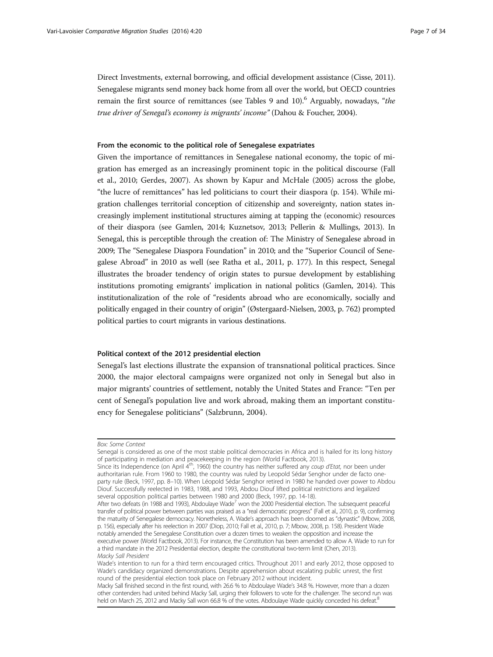Direct Investments, external borrowing, and official development assistance (Cisse, [2011](#page-31-0)). Senegalese migrants send money back home from all over the world, but OECD countries remain the first source of remittances (see Tables [9](#page-18-0) and [10](#page-19-0)). Arguably, nowadays, "the true driver of Senegal's economy is migrants' income" (Dahou & Foucher, [2004](#page-31-0)).

## From the economic to the political role of Senegalese expatriates

Given the importance of remittances in Senegalese national economy, the topic of migration has emerged as an increasingly prominent topic in the political discourse (Fall et al., [2010](#page-31-0); Gerdes, [2007\)](#page-31-0). As shown by Kapur and McHale (2005) across the globe, "the lucre of remittances" has led politicians to court their diaspora (p. 154). While migration challenges territorial conception of citizenship and sovereignty, nation states increasingly implement institutional structures aiming at tapping the (economic) resources of their diaspora (see Gamlen, [2014;](#page-31-0) Kuznetsov, [2013;](#page-32-0) Pellerin & Mullings, [2013](#page-32-0)). In Senegal, this is perceptible through the creation of: The Ministry of Senegalese abroad in 2009; The "Senegalese Diaspora Foundation" in 2010; and the "Superior Council of Senegalese Abroad" in 2010 as well (see Ratha et al., [2011](#page-33-0), p. 177). In this respect, Senegal illustrates the broader tendency of origin states to pursue development by establishing institutions promoting emigrants' implication in national politics (Gamlen, [2014](#page-31-0)). This institutionalization of the role of "residents abroad who are economically, socially and politically engaged in their country of origin" (Østergaard-Nielsen, [2003,](#page-32-0) p. 762) prompted political parties to court migrants in various destinations.

## Political context of the 2012 presidential election

Senegal's last elections illustrate the expansion of transnational political practices. Since 2000, the major electoral campaigns were organized not only in Senegal but also in major migrants' countries of settlement, notably the United States and France: "Ten per cent of Senegal's population live and work abroad, making them an important constituency for Senegalese politicians" (Salzbrunn, [2004\)](#page-33-0).

Box: Some Context

Senegal is considered as one of the most stable political democracies in Africa and is hailed for its long history of participating in mediation and peacekeeping in the region (World Factbook, [2013](#page-33-0)).

Since its Independence (on April 4<sup>th</sup>, 1960) the country has neither suffered any coup d'Etat, nor been under authoritarian rule. From 1960 to 1980, the country was ruled by Leopold Sédar Senghor under de facto oneparty rule (Beck, [1997,](#page-31-0) pp. 8–10). When Léopold Sédar Senghor retired in 1980 he handed over power to Abdou Diouf. Successfully reelected in 1983, 1988, and 1993, Abdou Diouf lifted political restrictions and legalized several opposition political parties between 1980 and 2000 (Beck, [1997,](#page-31-0) pp. 14-18).

After two defeats (in 1988 and 1993), Abdoulaye Wade<sup>7</sup> won the 2000 Presidential election. The subsequent peaceful transfer of political power between parties was praised as a "real democratic progress" (Fall et al., [2010,](#page-31-0) p. 9), confirming the maturity of Senegalese democracy. Nonetheless, A. Wade's approach has been doomed as "dynastic" (Mbow, [2008,](#page-32-0) p. 156), especially after his reelection in 2007 (Diop, [2010;](#page-31-0) Fall et al., [2010](#page-31-0), p. 7; Mbow, [2008](#page-32-0), p. 158). President Wade notably amended the Senegalese Constitution over a dozen times to weaken the opposition and increase the executive power (World Factbook, [2013](#page-33-0)). For instance, the Constitution has been amended to allow A. Wade to run for a third mandate in the 2012 Presidential election, despite the constitutional two-term limit (Chen, [2013\)](#page-31-0). Macky Sall President

Wade's intention to run for a third term encouraged critics. Throughout 2011 and early 2012, those opposed to Wade's candidacy organized demonstrations. Despite apprehension about escalating public unrest, the first round of the presidential election took place on February 2012 without incident.

Macky Sall finished second in the first round, with 26.6 % to Abdoulaye Wade's 34.8 %. However, more than a dozen other contenders had united behind Macky Sall, urging their followers to vote for the challenger. The second run was held on March 25, 2012 and Macky Sall won 66.8 % of the votes. Abdoulaye Wade quickly conceded his defeat.<sup>8</sup>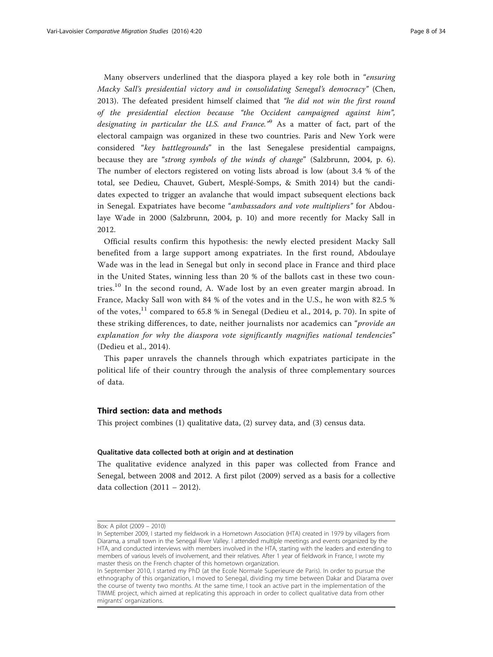<span id="page-7-0"></span>Many observers underlined that the diaspora played a key role both in "ensuring Macky Sall's presidential victory and in consolidating Senegal's democracy" (Chen, [2013\)](#page-31-0). The defeated president himself claimed that "he did not win the first round of the presidential election because "the Occident campaigned against him", designating in particular the U.S. and France."<sup>9</sup> As a matter of fact, part of the electoral campaign was organized in these two countries. Paris and New York were considered "key battlegrounds" in the last Senegalese presidential campaigns, because they are "strong symbols of the winds of change" (Salzbrunn, [2004](#page-33-0), p. 6). The number of electors registered on voting lists abroad is low (about 3.4 % of the total, see Dedieu, Chauvet, Gubert, Mesplé-Somps, & Smith [2014\)](#page-31-0) but the candidates expected to trigger an avalanche that would impact subsequent elections back in Senegal. Expatriates have become "ambassadors and vote multipliers" for Abdoulaye Wade in 2000 (Salzbrunn, [2004](#page-33-0), p. 10) and more recently for Macky Sall in 2012.

Official results confirm this hypothesis: the newly elected president Macky Sall benefited from a large support among expatriates. In the first round, Abdoulaye Wade was in the lead in Senegal but only in second place in France and third place in the United States, winning less than 20 % of the ballots cast in these two countries.<sup>10</sup> In the second round, A. Wade lost by an even greater margin abroad. In France, Macky Sall won with 84 % of the votes and in the U.S., he won with 82.5 % of the votes, $^{11}$  compared to 65.8 % in Senegal (Dedieu et al., [2014,](#page-31-0) p. 70). In spite of these striking differences, to date, neither journalists nor academics can "provide an explanation for why the diaspora vote significantly magnifies national tendencies" (Dedieu et al., [2014](#page-31-0)).

This paper unravels the channels through which expatriates participate in the political life of their country through the analysis of three complementary sources of data.

# Third section: data and methods

This project combines (1) qualitative data, (2) survey data, and (3) census data.

# Qualitative data collected both at origin and at destination

The qualitative evidence analyzed in this paper was collected from France and Senegal, between 2008 and 2012. A first pilot (2009) served as a basis for a collective data collection (2011 – 2012).

Box: A pilot (2009 – 2010)

In September 2009, I started my fieldwork in a Hometown Association (HTA) created in 1979 by villagers from Diarama, a small town in the Senegal River Valley. I attended multiple meetings and events organized by the HTA, and conducted interviews with members involved in the HTA, starting with the leaders and extending to members of various levels of involvement, and their relatives. After 1 year of fieldwork in France, I wrote my master thesis on the French chapter of this hometown organization.

In September 2010, I started my PhD (at the Ecole Normale Superieure de Paris). In order to pursue the ethnography of this organization, I moved to Senegal, dividing my time between Dakar and Diarama over the course of twenty two months. At the same time, I took an active part in the implementation of the TIMME project, which aimed at replicating this approach in order to collect qualitative data from other migrants' organizations.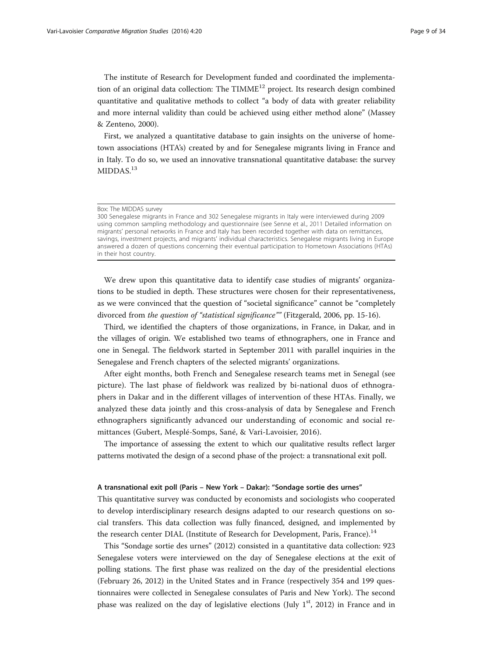The institute of Research for Development funded and coordinated the implementation of an original data collection: The TIMME $^{12}$  project. Its research design combined quantitative and qualitative methods to collect "a body of data with greater reliability and more internal validity than could be achieved using either method alone" (Massey & Zenteno, [2000\)](#page-32-0).

First, we analyzed a quantitative database to gain insights on the universe of hometown associations (HTA's) created by and for Senegalese migrants living in France and in Italy. To do so, we used an innovative transnational quantitative database: the survey MIDDAS.<sup>13</sup>

300 Senegalese migrants in France and 302 Senegalese migrants in Italy were interviewed during 2009 using common sampling methodology and questionnaire (see Senne et al., [2011](#page-33-0) Detailed information on migrants' personal networks in France and Italy has been recorded together with data on remittances, savings, investment projects, and migrants' individual characteristics. Senegalese migrants living in Europe answered a dozen of questions concerning their eventual participation to Hometown Associations (HTAs) in their host country.

We drew upon this quantitative data to identify case studies of migrants' organizations to be studied in depth. These structures were chosen for their representativeness, as we were convinced that the question of "societal significance" cannot be "completely divorced from the question of "statistical significance"" (Fitzgerald, 2006, pp. 15-16).

Third, we identified the chapters of those organizations, in France, in Dakar, and in the villages of origin. We established two teams of ethnographers, one in France and one in Senegal. The fieldwork started in September 2011 with parallel inquiries in the Senegalese and French chapters of the selected migrants' organizations.

After eight months, both French and Senegalese research teams met in Senegal (see picture). The last phase of fieldwork was realized by bi-national duos of ethnographers in Dakar and in the different villages of intervention of these HTAs. Finally, we analyzed these data jointly and this cross-analysis of data by Senegalese and French ethnographers significantly advanced our understanding of economic and social remittances (Gubert, Mesplé-Somps, Sané, & Vari-Lavoisier, [2016](#page-31-0)).

The importance of assessing the extent to which our qualitative results reflect larger patterns motivated the design of a second phase of the project: a transnational exit poll.

#### A transnational exit poll (Paris – New York – Dakar): "Sondage sortie des urnes"

This quantitative survey was conducted by economists and sociologists who cooperated to develop interdisciplinary research designs adapted to our research questions on social transfers. This data collection was fully financed, designed, and implemented by the research center DIAL (Institute of Research for Development, Paris, France).<sup>14</sup>

This "Sondage sortie des urnes" (2012) consisted in a quantitative data collection: 923 Senegalese voters were interviewed on the day of Senegalese elections at the exit of polling stations. The first phase was realized on the day of the presidential elections (February 26, 2012) in the United States and in France (respectively 354 and 199 questionnaires were collected in Senegalese consulates of Paris and New York). The second phase was realized on the day of legislative elections (July  $1<sup>st</sup>$ , 2012) in France and in

Box: The MIDDAS survey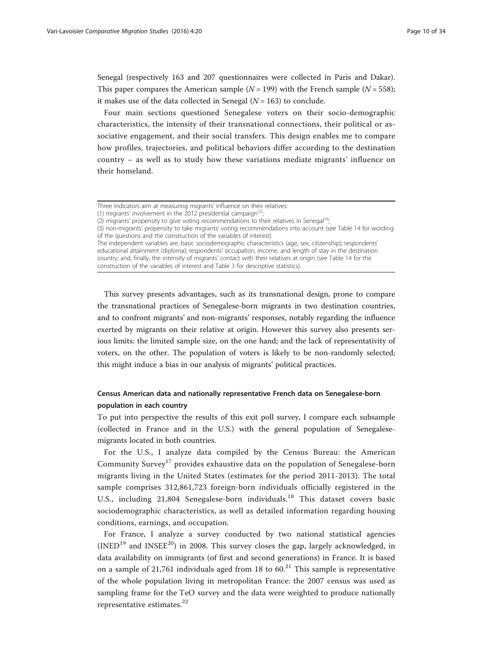Senegal (respectively 163 and 207 questionnaires were collected in Paris and Dakar). This paper compares the American sample ( $N = 199$ ) with the French sample ( $N = 558$ ); it makes use of the data collected in Senegal ( $N = 163$ ) to conclude.

Four main sections questioned Senegalese voters on their socio-demographic characteristics, the intensity of their transnational connections, their political or associative engagement, and their social transfers. This design enables me to compare how profiles, trajectories, and political behaviors differ according to the destination country – as well as to study how these variations mediate migrants' influence on their homeland.

This survey presents advantages, such as its transnational design, prone to compare the transnational practices of Senegalese-born migrants in two destination countries, and to confront migrants' and non-migrants' responses, notably regarding the influence exerted by migrants on their relative at origin. However this survey also presents serious limits: the limited sample size, on the one hand; and the lack of representativity of voters, on the other. The population of voters is likely to be non-randomly selected; this might induce a bias in our analysis of migrants' political practices.

# Census American data and nationally representative French data on Senegalese-born population in each country

To put into perspective the results of this exit poll survey, I compare each subsample (collected in France and in the U.S.) with the general population of Senegalesemigrants located in both countries.

For the U.S., I analyze data compiled by the Census Bureau: the American Community Survey<sup>17</sup> provides exhaustive data on the population of Senegalese-born migrants living in the United States (estimates for the period 2011-2013). The total sample comprises 312,861,723 foreign-born individuals officially registered in the U.S., including 21,804 Senegalese-born individuals.<sup>18</sup> This dataset covers basic sociodemographic characteristics, as well as detailed information regarding housing conditions, earnings, and occupation.

For France, I analyze a survey conducted by two national statistical agencies  $(INED<sup>19</sup>$  and  $INSEE<sup>20</sup>)$  in 2008. This survey closes the gap, largely acknowledged, in data availability on immigrants (of first and second generations) in France. It is based on a sample of 21,761 individuals aged from 18 to  $60<sup>21</sup>$  This sample is representative of the whole population living in metropolitan France: the 2007 census was used as sampling frame for the TeO survey and the data were weighted to produce nationally representative estimates.<sup>22</sup>

Three indicators aim at measuring migrants' influence on their relatives:

<sup>(1)</sup> migrants' involvement in the 2012 presidential campaign<sup>1</sup>

<sup>(2)</sup> migrants' propensity to give voting recommendations to their relatives in Senegal<sup>16</sup>;

<sup>(3)</sup> non-migrants' propensity to take migrants' voting recommendations into account (see Table [14](#page-28-0) for wording of the questions and the construction of the variables of interest).

The independent variables are: basic sociodemographic characteristics (age, sex, citizenship); respondents' educational attainment (diploma); respondents' occupation, income, and length of stay in the destination country; and, finally, the intensity of migrants' contact with their relatives at origin (see Table [14](#page-28-0) for the construction of the variables of interest and Table [3](#page-13-0) for descriptive statistics).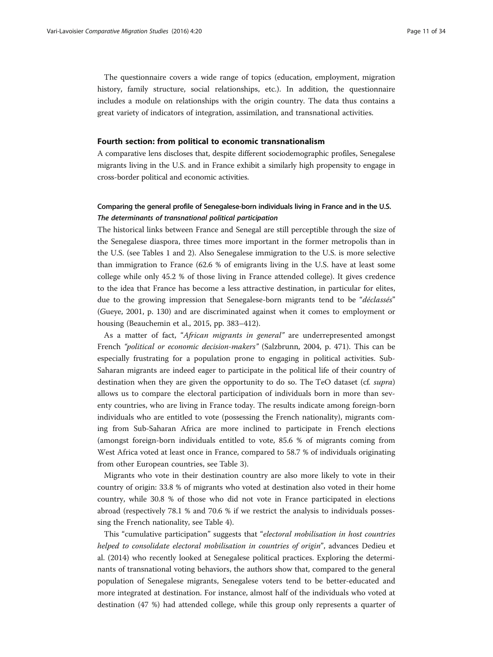The questionnaire covers a wide range of topics (education, employment, migration history, family structure, social relationships, etc.). In addition, the questionnaire includes a module on relationships with the origin country. The data thus contains a great variety of indicators of integration, assimilation, and transnational activities.

#### Fourth section: from political to economic transnationalism

A comparative lens discloses that, despite different sociodemographic profiles, Senegalese migrants living in the U.S. and in France exhibit a similarly high propensity to engage in cross-border political and economic activities.

# Comparing the general profile of Senegalese-born individuals living in France and in the U.S. The determinants of transnational political participation

The historical links between France and Senegal are still perceptible through the size of the Senegalese diaspora, three times more important in the former metropolis than in the U.S. (see Tables [1](#page-11-0) and [2\)](#page-12-0). Also Senegalese immigration to the U.S. is more selective than immigration to France (62.6 % of emigrants living in the U.S. have at least some college while only 45.2 % of those living in France attended college). It gives credence to the idea that France has become a less attractive destination, in particular for elites, due to the growing impression that Senegalese-born migrants tend to be "déclassés" (Gueye, [2001](#page-31-0), p. 130) and are discriminated against when it comes to employment or housing (Beauchemin et al., [2015](#page-30-0), pp. 383–412).

As a matter of fact, "African migrants in general" are underrepresented amongst French "political or economic decision-makers" (Salzbrunn, [2004](#page-33-0), p. 471). This can be especially frustrating for a population prone to engaging in political activities. Sub-Saharan migrants are indeed eager to participate in the political life of their country of destination when they are given the opportunity to do so. The TeO dataset (cf. supra) allows us to compare the electoral participation of individuals born in more than seventy countries, who are living in France today. The results indicate among foreign-born individuals who are entitled to vote (possessing the French nationality), migrants coming from Sub-Saharan Africa are more inclined to participate in French elections (amongst foreign-born individuals entitled to vote, 85.6 % of migrants coming from West Africa voted at least once in France, compared to 58.7 % of individuals originating from other European countries, see Table [3](#page-13-0)).

Migrants who vote in their destination country are also more likely to vote in their country of origin: 33.8 % of migrants who voted at destination also voted in their home country, while 30.8 % of those who did not vote in France participated in elections abroad (respectively 78.1 % and 70.6 % if we restrict the analysis to individuals possessing the French nationality, see Table [4](#page-14-0)).

This "cumulative participation" suggests that "electoral mobilisation in host countries helped to consolidate electoral mobilisation in countries of origin", advances Dedieu et al. [\(2014\)](#page-31-0) who recently looked at Senegalese political practices. Exploring the determinants of transnational voting behaviors, the authors show that, compared to the general population of Senegalese migrants, Senegalese voters tend to be better-educated and more integrated at destination. For instance, almost half of the individuals who voted at destination (47 %) had attended college, while this group only represents a quarter of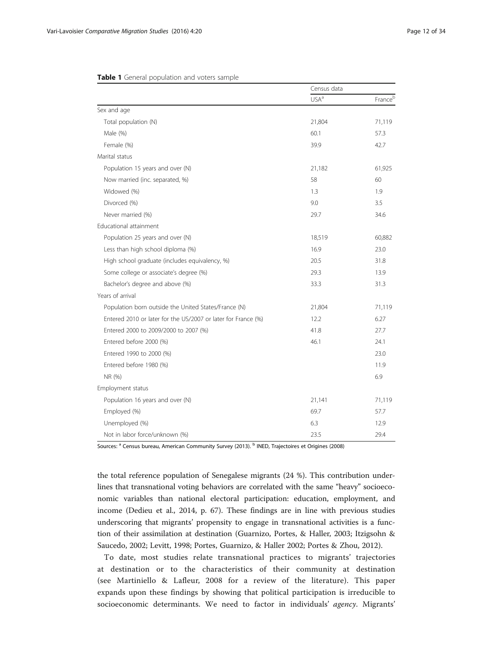|                                                               | Census data |         |
|---------------------------------------------------------------|-------------|---------|
|                                                               | $USA^a$     | Franceb |
| Sex and age                                                   |             |         |
| Total population (N)                                          | 21,804      | 71,119  |
| Male (%)                                                      | 60.1        | 57.3    |
| Female (%)                                                    | 39.9        | 42.7    |
| Marital status                                                |             |         |
| Population 15 years and over (N)                              | 21,182      | 61,925  |
| Now married (inc. separated, %)                               | 58          | 60      |
| Widowed (%)                                                   | 1.3         | 1.9     |
| Divorced (%)                                                  | 9.0         | 3.5     |
| Never married (%)                                             | 29.7        | 34.6    |
| Educational attainment                                        |             |         |
| Population 25 years and over (N)                              | 18,519      | 60,882  |
| Less than high school diploma (%)                             | 16.9        | 23.0    |
| High school graduate (includes equivalency, %)                | 20.5        | 31.8    |
| Some college or associate's degree (%)                        | 29.3        | 13.9    |
| Bachelor's degree and above (%)                               | 33.3        | 31.3    |
| Years of arrival                                              |             |         |
| Population born outside the United States/France (N)          | 21,804      | 71,119  |
| Entered 2010 or later for the US/2007 or later for France (%) | 12.2        | 6.27    |
| Entered 2000 to 2009/2000 to 2007 (%)                         | 41.8        | 27.7    |
| Entered before 2000 (%)                                       | 46.1        | 24.1    |
| Entered 1990 to 2000 (%)                                      |             | 23.0    |
| Entered before 1980 (%)                                       |             | 11.9    |
| NR (%)                                                        |             | 6.9     |
| Employment status                                             |             |         |
| Population 16 years and over (N)                              | 21,141      | 71,119  |
| Employed (%)                                                  | 69.7        | 57.7    |
| Unemployed (%)                                                | 6.3         | 12.9    |
| Not in labor force/unknown (%)                                | 23.5        | 29.4    |

#### <span id="page-11-0"></span>Table 1 General population and voters sample

Sources: <sup>a</sup> Census bureau, American Community Survey (2013). <sup>b</sup> INED, Trajectoires et Origines (2008)

the total reference population of Senegalese migrants (24 %). This contribution underlines that transnational voting behaviors are correlated with the same "heavy" socioeconomic variables than national electoral participation: education, employment, and income (Dedieu et al., [2014,](#page-31-0) p. 67). These findings are in line with previous studies underscoring that migrants' propensity to engage in transnational activities is a function of their assimilation at destination (Guarnizo, Portes, & Haller, [2003](#page-31-0); Itzigsohn & Saucedo, [2002](#page-32-0); Levitt, [1998;](#page-32-0) Portes, Guarnizo, & Haller [2002;](#page-32-0) Portes & Zhou, [2012](#page-33-0)).

To date, most studies relate transnational practices to migrants' trajectories at destination or to the characteristics of their community at destination (see Martiniello & Lafleur, [2008](#page-32-0) for a review of the literature). This paper expands upon these findings by showing that political participation is irreducible to socioeconomic determinants. We need to factor in individuals' agency. Migrants'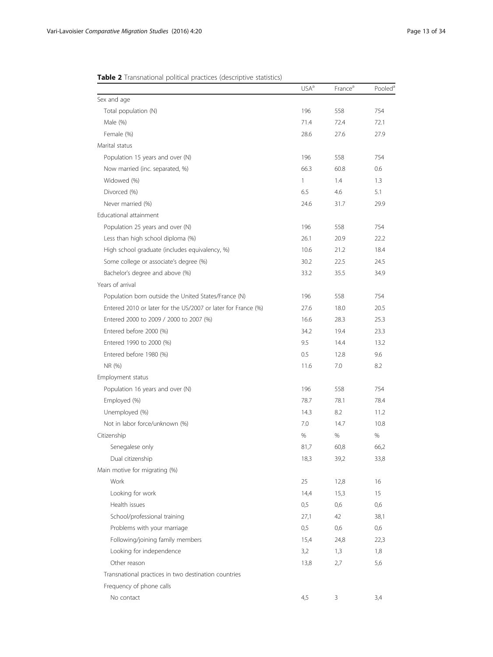# <span id="page-12-0"></span>Table 2 Transnational political practices (descriptive statistics)

|                                                               | USA <sup>a</sup> | France <sup>a</sup> | Pooled <sup>a</sup> |
|---------------------------------------------------------------|------------------|---------------------|---------------------|
| Sex and age                                                   |                  |                     |                     |
| Total population (N)                                          | 196              | 558                 | 754                 |
| Male (%)                                                      | 71.4             | 72.4                | 72.1                |
| Female (%)                                                    | 28.6             | 27.6                | 27.9                |
| Marital status                                                |                  |                     |                     |
| Population 15 years and over (N)                              | 196              | 558                 | 754                 |
| Now married (inc. separated, %)                               | 66.3             | 60.8                | 0.6                 |
| Widowed (%)                                                   | 1                | 1.4                 | 1.3                 |
| Divorced (%)                                                  | 6.5              | 4.6                 | 5.1                 |
| Never married (%)                                             | 24.6             | 31.7                | 29.9                |
| Educational attainment                                        |                  |                     |                     |
| Population 25 years and over (N)                              | 196              | 558                 | 754                 |
| Less than high school diploma (%)                             | 26.1             | 20.9                | 22.2                |
| High school graduate (includes equivalency, %)                | 10.6             | 21.2                | 18.4                |
| Some college or associate's degree (%)                        | 30.2             | 22.5                | 24.5                |
| Bachelor's degree and above (%)                               | 33.2             | 35.5                | 34.9                |
| Years of arrival                                              |                  |                     |                     |
| Population born outside the United States/France (N)          | 196              | 558                 | 754                 |
| Entered 2010 or later for the US/2007 or later for France (%) | 27.6             | 18.0                | 20.5                |
| Entered 2000 to 2009 / 2000 to 2007 (%)                       | 16.6             | 28.3                | 25.3                |
| Entered before 2000 (%)                                       | 34.2             | 19.4                | 23.3                |
| Entered 1990 to 2000 (%)                                      | 9.5              | 14.4                | 13.2                |
| Entered before 1980 (%)                                       | 0.5              | 12.8                | 9.6                 |
| NR (%)                                                        | 11.6             | 7.0                 | 8.2                 |
| Employment status                                             |                  |                     |                     |
| Population 16 years and over (N)                              | 196              | 558                 | 754                 |
| Employed (%)                                                  | 78.7             | 78.1                | 78.4                |
| Unemployed (%)                                                | 14.3             | 8.2                 | 11.2                |
| Not in labor force/unknown (%)                                | 7.0              | 14.7                | 10.8                |
| Citizenship                                                   | $\%$             | %                   | %                   |
| Senegalese only                                               | 81,7             | 60,8                | 66,2                |
| Dual citizenship                                              | 18,3             | 39,2                | 33,8                |
| Main motive for migrating (%)                                 |                  |                     |                     |
| Work                                                          | 25               | 12,8                | 16                  |
| Looking for work                                              | 14,4             | 15,3                | 15                  |
| Health issues                                                 | 0,5              | 0,6                 | 0,6                 |
| School/professional training                                  | 27,1             | 42                  | 38,1                |
| Problems with your marriage                                   | 0,5              | 0,6                 | 0,6                 |
| Following/joining family members                              | 15,4             | 24,8                | 22,3                |
| Looking for independence                                      | 3,2              | 1,3                 | 1,8                 |
| Other reason                                                  | 13,8             | 2,7                 | 5,6                 |
| Transnational practices in two destination countries          |                  |                     |                     |
| Frequency of phone calls                                      |                  |                     |                     |
| No contact                                                    | 4,5              | 3                   | 3,4                 |
|                                                               |                  |                     |                     |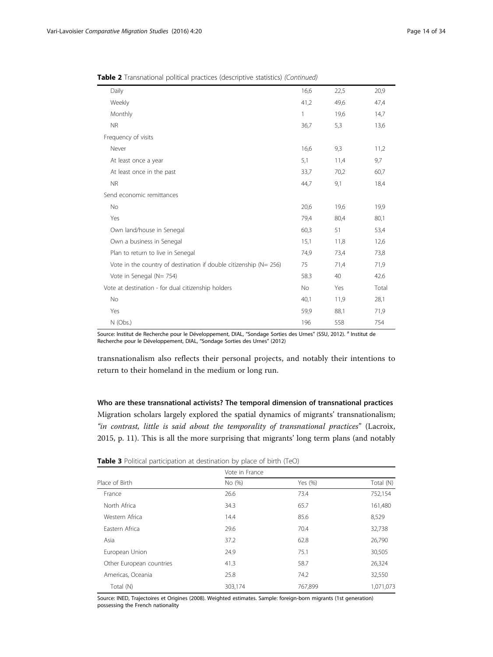<span id="page-13-0"></span>Table 2 Transnational political practices (descriptive statistics) (Continued)

| Daily                                                                  | 16,6      | 22,5 | 20,9  |
|------------------------------------------------------------------------|-----------|------|-------|
| Weekly                                                                 | 41,2      | 49,6 | 47,4  |
| Monthly                                                                | 1         | 19,6 | 14,7  |
| <b>NR</b>                                                              | 36,7      | 5,3  | 13,6  |
| Frequency of visits                                                    |           |      |       |
| Never                                                                  | 16,6      | 9,3  | 11,2  |
| At least once a year                                                   | 5,1       | 11,4 | 9,7   |
| At least once in the past                                              | 33,7      | 70,2 | 60,7  |
| <b>NR</b>                                                              | 44,7      | 9,1  | 18,4  |
| Send economic remittances                                              |           |      |       |
| No                                                                     | 20,6      | 19,6 | 19,9  |
| Yes                                                                    | 79,4      | 80,4 | 80,1  |
| Own land/house in Senegal                                              | 60,3      | 51   | 53,4  |
| Own a business in Senegal                                              | 15,1      | 11,8 | 12,6  |
| Plan to return to live in Senegal                                      | 74,9      | 73,4 | 73,8  |
| Vote in the country of destination if double citizenship ( $N = 256$ ) | 75        | 71,4 | 71,9  |
| Vote in Senegal (N= 754)                                               | 58.3      | 40   | 42.6  |
| Vote at destination - for dual citizenship holders                     | <b>No</b> | Yes  | Total |
| <b>No</b>                                                              | 40,1      | 11,9 | 28,1  |
| Yes                                                                    | 59,9      | 88,1 | 71,9  |
| N (Obs.)                                                               | 196       | 558  | 754   |

Source: Institut de Recherche pour le Développement, DIAL, "Sondage Sorties des Urnes" (SSU, 2012). <sup>a</sup> Institut de Recherche pour le Développement, DIAL, "Sondage Sorties des Urnes" (2012)

transnationalism also reflects their personal projects, and notably their intentions to return to their homeland in the medium or long run.

Who are these transnational activists? The temporal dimension of transnational practices Migration scholars largely explored the spatial dynamics of migrants' transnationalism; "in contrast, little is said about the temporality of transnational practices" (Lacroix, [2015](#page-32-0), p. 11). This is all the more surprising that migrants' long term plans (and notably

| <b>Table 3</b> Political participation at destination by place of birth (TeO) |  |  |  |  |
|-------------------------------------------------------------------------------|--|--|--|--|
|-------------------------------------------------------------------------------|--|--|--|--|

| Vote in France |            |           |  |
|----------------|------------|-----------|--|
| No (%)         | Yes $(\%)$ | Total (N) |  |
| 26.6           | 73.4       | 752,154   |  |
| 34.3           | 65.7       | 161,480   |  |
| 14.4           | 85.6       | 8,529     |  |
| 29.6           | 70.4       | 32,738    |  |
| 37.2           | 62.8       | 26,790    |  |
| 24.9           | 75.1       | 30,505    |  |
| 41.3           | 58.7       | 26,324    |  |
| 25.8           | 74.2       | 32,550    |  |
| 303,174        | 767,899    | 1,071,073 |  |
|                |            |           |  |

Source: INED, Trajectoires et Origines (2008). Weighted estimates. Sample: foreign-born migrants (1st generation) possessing the French nationality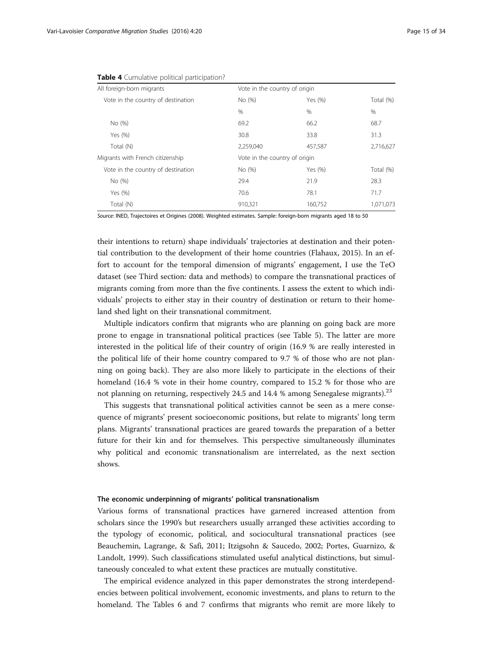| All foreign-born migrants          | Vote in the country of origin |         |           |
|------------------------------------|-------------------------------|---------|-----------|
| Vote in the country of destination | No (%)                        | Yes (%) | Total (%) |
|                                    | $\%$                          | $\%$    | %         |
| No (%)                             | 69.2                          | 66.2    | 68.7      |
| Yes (%)                            | 30.8                          | 33.8    | 31.3      |
| Total (N)                          | 2,259,040                     | 457,587 | 2,716,627 |
| Migrants with French citizenship   | Vote in the country of origin |         |           |
| Vote in the country of destination | No (%)                        | Yes (%) | Total (%) |
| No (%)                             | 29.4                          | 21.9    | 28.3      |
| Yes (%)                            | 70.6                          | 78.1    | 71.7      |
| Total (N)                          | 910.321                       | 160.752 | 1.071.073 |

<span id="page-14-0"></span>

Source: INED, Trajectoires et Origines (2008). Weighted estimates. Sample: foreign-born migrants aged 18 to 50

their intentions to return) shape individuals' trajectories at destination and their potential contribution to the development of their home countries (Flahaux, [2015](#page-31-0)). In an effort to account for the temporal dimension of migrants' engagement, I use the TeO dataset (see [Third section: data and methods\)](#page-7-0) to compare the transnational practices of migrants coming from more than the five continents. I assess the extent to which individuals' projects to either stay in their country of destination or return to their homeland shed light on their transnational commitment.

Multiple indicators confirm that migrants who are planning on going back are more prone to engage in transnational political practices (see Table [5](#page-15-0)). The latter are more interested in the political life of their country of origin (16.9 % are really interested in the political life of their home country compared to 9.7 % of those who are not planning on going back). They are also more likely to participate in the elections of their homeland (16.4 % vote in their home country, compared to 15.2 % for those who are not planning on returning, respectively 24.5 and 14.4 % among Senegalese migrants).<sup>23</sup>

This suggests that transnational political activities cannot be seen as a mere consequence of migrants' present socioeconomic positions, but relate to migrants' long term plans. Migrants' transnational practices are geared towards the preparation of a better future for their kin and for themselves. This perspective simultaneously illuminates why political and economic transnationalism are interrelated, as the next section shows.

# The economic underpinning of migrants' political transnationalism

Various forms of transnational practices have garnered increased attention from scholars since the 1990's but researchers usually arranged these activities according to the typology of economic, political, and sociocultural transnational practices (see Beauchemin, Lagrange, & Safi, [2011](#page-30-0); Itzigsohn & Saucedo, [2002](#page-32-0); Portes, Guarnizo, & Landolt, [1999\)](#page-32-0). Such classifications stimulated useful analytical distinctions, but simultaneously concealed to what extent these practices are mutually constitutive.

The empirical evidence analyzed in this paper demonstrates the strong interdependencies between political involvement, economic investments, and plans to return to the homeland. The Tables [6](#page-16-0) and [7](#page-16-0) confirms that migrants who remit are more likely to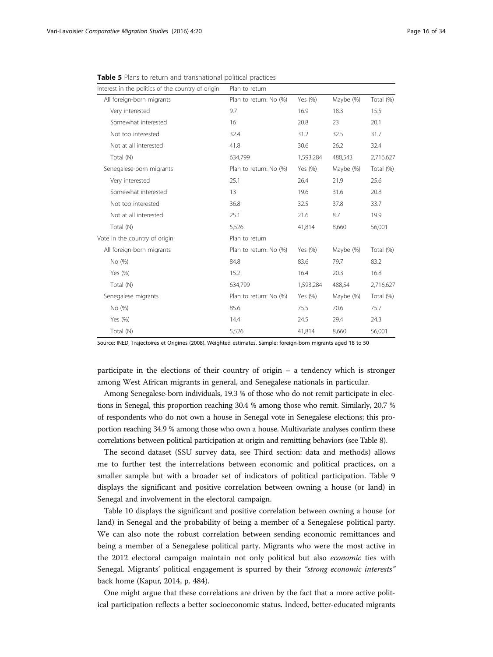| Interest in the politics of the country of origin | Plan to return         |           |           |           |
|---------------------------------------------------|------------------------|-----------|-----------|-----------|
| All foreign-born migrants                         | Plan to return: No (%) | Yes (%)   | Maybe (%) | Total (%) |
| Very interested                                   | 9.7                    | 16.9      | 18.3      | 15.5      |
| Somewhat interested                               | 16                     | 20.8      | 23        | 20.1      |
| Not too interested                                | 32.4                   | 31.2      | 32.5      | 31.7      |
| Not at all interested                             | 41.8                   | 30.6      | 26.2      | 32.4      |
| Total (N)                                         | 634,799                | 1,593,284 | 488,543   | 2,716,627 |
| Senegalese-born migrants                          | Plan to return: No (%) | Yes (%)   | Maybe (%) | Total (%) |
| Very interested                                   | 25.1                   | 26.4      | 21.9      | 25.6      |
| Somewhat interested                               | 13                     | 19.6      | 31.6      | 20.8      |
| Not too interested                                | 36.8                   | 32.5      | 37.8      | 33.7      |
| Not at all interested                             | 25.1                   | 21.6      | 8.7       | 19.9      |
| Total (N)                                         | 5,526                  | 41,814    | 8,660     | 56,001    |
| Vote in the country of origin                     | Plan to return         |           |           |           |
| All foreign-born migrants                         | Plan to return: No (%) | Yes (%)   | Maybe (%) | Total (%) |
| No (%)                                            | 84.8                   | 83.6      | 79.7      | 83.2      |
| Yes (%)                                           | 15.2                   | 16.4      | 20.3      | 16.8      |
| Total (N)                                         | 634,799                | 1,593,284 | 488,54    | 2,716,627 |
| Senegalese migrants                               | Plan to return: No (%) | Yes (%)   | Maybe (%) | Total (%) |
| No (%)                                            | 85.6                   | 75.5      | 70.6      | 75.7      |
| Yes (%)                                           | 14.4                   | 24.5      | 29.4      | 24.3      |
| Total (N)                                         | 5,526                  | 41,814    | 8,660     | 56,001    |

<span id="page-15-0"></span>Table 5 Plans to return and transnational political practices

Source: INED, Trajectoires et Origines (2008). Weighted estimates. Sample: foreign-born migrants aged 18 to 50

participate in the elections of their country of origin – a tendency which is stronger among West African migrants in general, and Senegalese nationals in particular.

Among Senegalese-born individuals, 19.3 % of those who do not remit participate in elections in Senegal, this proportion reaching 30.4 % among those who remit. Similarly, 20.7 % of respondents who do not own a house in Senegal vote in Senegalese elections; this proportion reaching 34.9 % among those who own a house. Multivariate analyses confirm these correlations between political participation at origin and remitting behaviors (see Table [8](#page-17-0)).

The second dataset (SSU survey data, see [Third section: data and methods\)](#page-7-0) allows me to further test the interrelations between economic and political practices, on a smaller sample but with a broader set of indicators of political participation. Table [9](#page-18-0) displays the significant and positive correlation between owning a house (or land) in Senegal and involvement in the electoral campaign.

Table [10](#page-19-0) displays the significant and positive correlation between owning a house (or land) in Senegal and the probability of being a member of a Senegalese political party. We can also note the robust correlation between sending economic remittances and being a member of a Senegalese political party. Migrants who were the most active in the 2012 electoral campaign maintain not only political but also economic ties with Senegal. Migrants' political engagement is spurred by their "strong economic interests" back home (Kapur, [2014,](#page-32-0) p. 484).

One might argue that these correlations are driven by the fact that a more active political participation reflects a better socioeconomic status. Indeed, better-educated migrants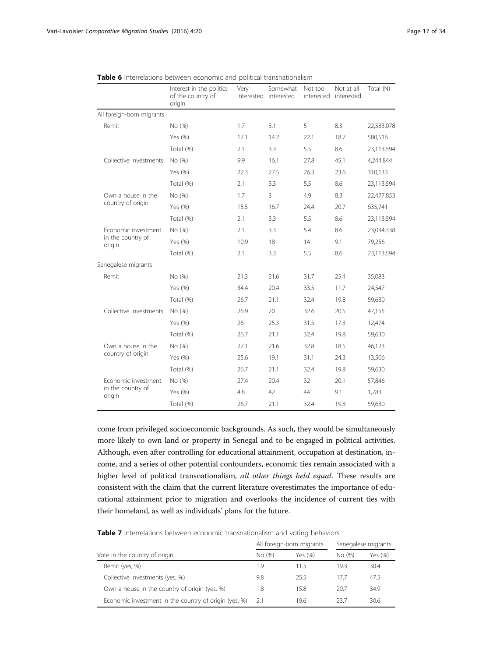|                                                    | Interest in the politics<br>of the country of<br>origin | Very | Somewhat<br>interested interested | Not too | Not at all<br>interested interested | Total (N)  |
|----------------------------------------------------|---------------------------------------------------------|------|-----------------------------------|---------|-------------------------------------|------------|
| All foreign-born migrants                          |                                                         |      |                                   |         |                                     |            |
| Remit                                              | No (%)                                                  | 1.7  | 3.1                               | 5       | 8.3                                 | 22,533,078 |
|                                                    | Yes (%)                                                 | 17.1 | 14.2                              | 22.1    | 18.7                                | 580,516    |
|                                                    | Total (%)                                               | 2.1  | 3.3                               | 5.5     | 8.6                                 | 23,113,594 |
| Collective Investments                             | No (%)                                                  | 9.9  | 16.1                              | 27.8    | 45.1                                | 4,244,844  |
|                                                    | Yes (%)                                                 | 22.3 | 27.5                              | 26.3    | 23.6                                | 310,133    |
|                                                    | Total (%)                                               | 2.1  | 3.3                               | 5.5     | 8.6                                 | 23,113,594 |
| Own a house in the                                 | No (%)                                                  | 1.7  | $\overline{3}$                    | 4.9     | 8.3                                 | 22,477,853 |
| country of origin                                  | Yes (%)                                                 | 15.5 | 16.7                              | 24.4    | 20.7                                | 635,741    |
|                                                    | Total (%)                                               | 2.1  | 3.3                               | 5.5     | 8.6                                 | 23,113,594 |
| Economic investment<br>in the country of<br>origin | No (%)                                                  | 2.1  | 3.3                               | 5.4     | 8.6                                 | 23,034,338 |
|                                                    | Yes (%)                                                 | 10.9 | 18                                | 14      | 9.1                                 | 79,256     |
|                                                    | Total (%)                                               | 2.1  | 3.3                               | 5.5     | 8.6                                 | 23,113,594 |
| Senegalese migrants                                |                                                         |      |                                   |         |                                     |            |
| Remit                                              | No (%)                                                  | 21.3 | 21.6                              | 31.7    | 25.4                                | 35,083     |
|                                                    | Yes (%)                                                 | 34.4 | 20.4                              | 33.5    | 11.7                                | 24,547     |
|                                                    | Total (%)                                               | 26.7 | 21.1                              | 32.4    | 19.8                                | 59,630     |
| Collective Investments                             | No (%)                                                  | 26.9 | 20                                | 32.6    | 20.5                                | 47,155     |
|                                                    | Yes (%)                                                 | 26   | 25.3                              | 31.5    | 17.3                                | 12,474     |
|                                                    | Total (%)                                               | 26.7 | 21.1                              | 32.4    | 19.8                                | 59,630     |
| Own a house in the<br>country of origin            | No (%)                                                  | 27.1 | 21.6                              | 32.8    | 18.5                                | 46,123     |
|                                                    | Yes (%)                                                 | 25.6 | 19.1                              | 31.1    | 24.3                                | 13,506     |
|                                                    | Total (%)                                               | 26.7 | 21.1                              | 32.4    | 19.8                                | 59,630     |
| Economic investment                                | No (%)                                                  | 27.4 | 20.4                              | 32      | 20.1                                | 57,846     |
| in the country of<br>origin                        | Yes (%)                                                 | 4.8  | 42                                | 44      | 9.1                                 | 1,783      |
|                                                    | Total (%)                                               | 26.7 | 21.1                              | 32.4    | 19.8                                | 59,630     |

<span id="page-16-0"></span>

|  | Table 6 Interrelations between economic and political transnationalism |
|--|------------------------------------------------------------------------|
|--|------------------------------------------------------------------------|

come from privileged socioeconomic backgrounds. As such, they would be simultaneously more likely to own land or property in Senegal and to be engaged in political activities. Although, even after controlling for educational attainment, occupation at destination, income, and a series of other potential confounders, economic ties remain associated with a higher level of political transnationalism, all other things held equal. These results are consistent with the claim that the current literature overestimates the importance of educational attainment prior to migration and overlooks the incidence of current ties with their homeland, as well as individuals' plans for the future.

Table 7 Interrelations between economic transnationalism and voting behaviors

|                                                       | All foreign-born migrants |         | Senegalese migrants |         |
|-------------------------------------------------------|---------------------------|---------|---------------------|---------|
| Vote in the country of origin                         | No (%)                    | Yes (%) | No (%)              | Yes (%) |
| Remit (yes, %)                                        | 1.9                       | 115     | 19.3                | 30.4    |
| Collective Investments (yes, %)                       | 9.8                       | 255     | 17.7                | 47.5    |
| Own a house in the country of origin (yes, %)         | 1.8                       | 15.8    | 20.7                | 34.9    |
| Economic investment in the country of origin (yes, %) | -2.1                      | 19.6    | 237                 | 30.6    |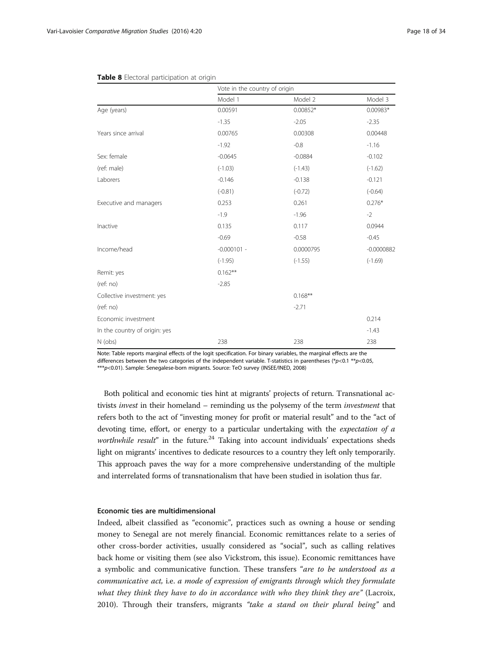|                               | Vote in the country of origin |            |              |  |
|-------------------------------|-------------------------------|------------|--------------|--|
|                               | Model 1                       | Model 2    | Model 3      |  |
| Age (years)                   | 0.00591                       | $0.00852*$ | 0.00983*     |  |
|                               | $-1.35$                       | $-2.05$    | $-2.35$      |  |
| Years since arrival           | 0.00765                       | 0.00308    | 0.00448      |  |
|                               | $-1.92$                       | $-0.8$     | $-1.16$      |  |
| Sex: female                   | $-0.0645$                     | $-0.0884$  | $-0.102$     |  |
| (ref: male)                   | $(-1.03)$                     | $(-1.43)$  | $(-1.62)$    |  |
| Laborers                      | $-0.146$                      | $-0.138$   | $-0.121$     |  |
|                               | $(-0.81)$                     | $(-0.72)$  | $(-0.64)$    |  |
| Executive and managers        | 0.253                         | 0.261      | $0.276*$     |  |
|                               | $-1.9$                        | $-1.96$    | $-2$         |  |
| Inactive                      | 0.135                         | 0.117      | 0.0944       |  |
|                               | $-0.69$                       | $-0.58$    | $-0.45$      |  |
| Income/head                   | $-0.000101 -$                 | 0.0000795  | $-0.0000882$ |  |
|                               | $(-1.95)$                     | $(-1.55)$  | $(-1.69)$    |  |
| Remit: yes                    | $0.162***$                    |            |              |  |
| (ref: no)                     | $-2.85$                       |            |              |  |
| Collective investment: yes    |                               | $0.168**$  |              |  |
| (ref: no)                     |                               | $-2.71$    |              |  |
| Economic investment           |                               |            | 0.214        |  |
| In the country of origin: yes |                               |            | $-1.43$      |  |
| N (obs)                       | 238                           | 238        | 238          |  |

#### <span id="page-17-0"></span>Table 8 Electoral participation at origin

Note: Table reports marginal effects of the logit specification. For binary variables, the marginal effects are the differences between the two categories of the independent variable. T-statistics in parentheses (\*p<0.1 \*\*p<0.05, \*\*\*p<0.01). Sample: Senegalese-born migrants. Source: TeO survey (INSEE/INED, 2008)

Both political and economic ties hint at migrants' projects of return. Transnational activists invest in their homeland – reminding us the polysemy of the term investment that refers both to the act of "investing money for profit or material result" and to the "act of devoting time, effort, or energy to a particular undertaking with the expectation of a worthwhile result" in the future.<sup>24</sup> Taking into account individuals' expectations sheds light on migrants' incentives to dedicate resources to a country they left only temporarily. This approach paves the way for a more comprehensive understanding of the multiple and interrelated forms of transnationalism that have been studied in isolation thus far.

# Economic ties are multidimensional

Indeed, albeit classified as "economic", practices such as owning a house or sending money to Senegal are not merely financial. Economic remittances relate to a series of other cross-border activities, usually considered as "social", such as calling relatives back home or visiting them (see also Vickstrom, this issue). Economic remittances have a symbolic and communicative function. These transfers "are to be understood as a communicative act, i.e. a mode of expression of emigrants through which they formulate what they think they have to do in accordance with who they think they are" (Lacroix, [2010](#page-32-0)). Through their transfers, migrants "take a stand on their plural being" and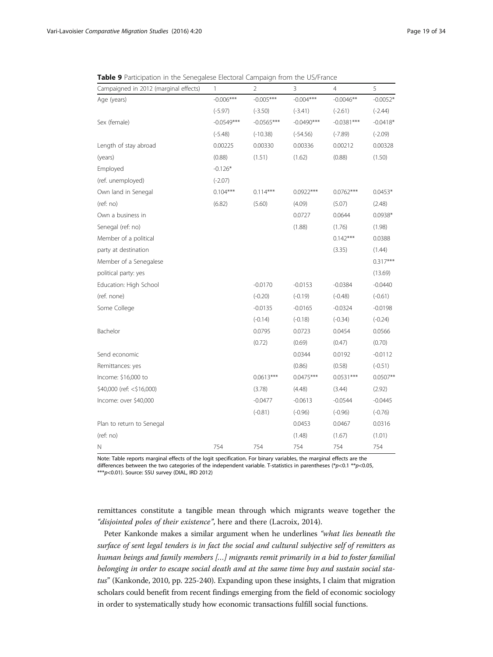| Campaigned in 2012 (marginal effects) | 1            | 2            | 3            | 4            | 5          |
|---------------------------------------|--------------|--------------|--------------|--------------|------------|
| Age (years)                           | $-0.006***$  | $-0.005***$  | $-0.004***$  | $-0.0046**$  | $-0.0052*$ |
|                                       | $(-5.97)$    | $(-3.50)$    | $(-3.41)$    | $(-2.61)$    | $(-2.44)$  |
| Sex (female)                          | $-0.0549***$ | $-0.0565***$ | $-0.0490***$ | $-0.0381***$ | $-0.0418*$ |
|                                       | $(-5.48)$    | $(-10.38)$   | $(-54.56)$   | $(-7.89)$    | $(-2.09)$  |
| Length of stay abroad                 | 0.00225      | 0.00330      | 0.00336      | 0.00212      | 0.00328    |
| (years)                               | (0.88)       | (1.51)       | (1.62)       | (0.88)       | (1.50)     |
| Employed                              | $-0.126*$    |              |              |              |            |
| (ref. unemployed)                     | $(-2.07)$    |              |              |              |            |
| Own land in Senegal                   | $0.104***$   | $0.114***$   | $0.0922***$  | $0.0762***$  | $0.0453*$  |
| (ref:no)                              | (6.82)       | (5.60)       | (4.09)       | (5.07)       | (2.48)     |
| Own a business in                     |              |              | 0.0727       | 0.0644       | $0.0938*$  |
| Senegal (ref: no)                     |              |              | (1.88)       | (1.76)       | (1.98)     |
| Member of a political                 |              |              |              | $0.142***$   | 0.0388     |
| party at destination                  |              |              |              | (3.35)       | (1.44)     |
| Member of a Senegalese                |              |              |              |              | $0.317***$ |
| political party: yes                  |              |              |              |              | (13.69)    |
| Education: High School                |              | $-0.0170$    | $-0.0153$    | $-0.0384$    | $-0.0440$  |
| (ref. none)                           |              | $(-0.20)$    | $(-0.19)$    | $(-0.48)$    | $(-0.61)$  |
| Some College                          |              | $-0.0135$    | $-0.0165$    | $-0.0324$    | $-0.0198$  |
|                                       |              | $(-0.14)$    | $(-0.18)$    | $(-0.34)$    | $(-0.24)$  |
| Bachelor                              |              | 0.0795       | 0.0723       | 0.0454       | 0.0566     |
|                                       |              | (0.72)       | (0.69)       | (0.47)       | (0.70)     |
| Send economic                         |              |              | 0.0344       | 0.0192       | $-0.0112$  |
| Remittances: yes                      |              |              | (0.86)       | (0.58)       | $(-0.51)$  |
| Income: \$16,000 to                   |              | $0.0613***$  | $0.0475***$  | $0.0531***$  | $0.0507**$ |
| \$40,000 (ref: <\$16,000)             |              | (3.78)       | (4.48)       | (3.44)       | (2.92)     |
| Income: over \$40,000                 |              | $-0.0477$    | $-0.0613$    | $-0.0544$    | $-0.0445$  |
|                                       |              | $(-0.81)$    | $(-0.96)$    | $(-0.96)$    | $(-0.76)$  |
| Plan to return to Senegal             |              |              | 0.0453       | 0.0467       | 0.0316     |
| (ref: no)                             |              |              | (1.48)       | (1.67)       | (1.01)     |
| Ν                                     | 754          | 754          | 754          | 754          | 754        |

<span id="page-18-0"></span>Table 9 Participation in the Senegalese Electoral Campaign from the US/France

Note: Table reports marginal effects of the logit specification. For binary variables, the marginal effects are the differences between the two categories of the independent variable. T-statistics in parentheses (\*p<0.1 \*\*p<0.05, \*\*\*p<0.01). Source: SSU survey (DIAL, IRD 2012)

remittances constitute a tangible mean through which migrants weave together the "disjointed poles of their existence", here and there (Lacroix, [2014](#page-32-0)).

Peter Kankonde makes a similar argument when he underlines "what lies beneath the surface of sent legal tenders is in fact the social and cultural subjective self of remitters as human beings and family members […] migrants remit primarily in a bid to foster familial belonging in order to escape social death and at the same time buy and sustain social status" (Kankonde, [2010](#page-32-0), pp. 225-240). Expanding upon these insights, I claim that migration scholars could benefit from recent findings emerging from the field of economic sociology in order to systematically study how economic transactions fulfill social functions.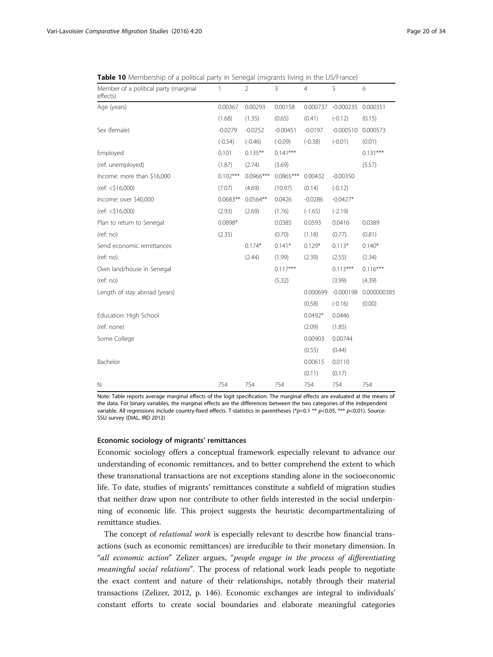| Member of a political party (marginal<br>effects) | 1          | $\overline{2}$ | 3           | $\overline{4}$ | 5           | 6           |
|---------------------------------------------------|------------|----------------|-------------|----------------|-------------|-------------|
| Age (years)                                       | 0.00367    | 0.00293        | 0.00158     | 0.000737       | $-0.000235$ | 0.000351    |
|                                                   | (1.68)     | (1.35)         | (0.65)      | (0.41)         | $(-0.12)$   | (0.15)      |
| Sex (female)                                      | $-0.0279$  | $-0.0252$      | $-0.00451$  | $-0.0197$      | $-0.000510$ | 0.000573    |
|                                                   | $(-0.54)$  | $(-0.46)$      | $(-0.09)$   | $(-0.38)$      | $(-0.01)$   | (0.01)      |
| Employed                                          | 0.101      | $0.135***$     | $0.141***$  |                |             | $0.131***$  |
| (ref. unemployed)                                 | (1.87)     | (2.74)         | (3.69)      |                |             | (5.57)      |
| Income: more than \$16,000                        | $0.102***$ | $0.0966***$    | $0.0865***$ | 0.00432        | $-0.00350$  |             |
| (ref: < \$16,000)                                 | (7.07)     | (4.69)         | (10.97)     | (0.14)         | $(-0.12)$   |             |
| Income: over \$40,000                             | $0.0683**$ | $0.0564**$     | 0.0426      | $-0.0286$      | $-0.0427*$  |             |
| (ref: < \$16,000)                                 | (2.93)     | (2.69)         | (1.76)      | $(-1.65)$      | $(-2.19)$   |             |
| Plan to return to Senegal                         | $0.0898*$  |                | 0.0385      | 0.0593         | 0.0416      | 0.0389      |
| (ref: no)                                         | (2.35)     |                | (0.70)      | (1.18)         | (0.77)      | (0.81)      |
| Send economic remittances                         |            | $0.174*$       | $0.141*$    | $0.129*$       | $0.113*$    | $0.140*$    |
| (ref: no)                                         |            | (2.44)         | (1.99)      | (2.39)         | (2.55)      | (2.34)      |
| Own land/house in Senegal                         |            |                | $0.117***$  |                | $0.113***$  | $0.116***$  |
| (ref: no)                                         |            |                | (5.32)      |                | (3.99)      | (4.39)      |
| Length of stay abroad (years)                     |            |                |             | 0.000699       | $-0.000198$ | 0.000000385 |
|                                                   |            |                |             | (0.58)         | $(-0.16)$   | (0.00)      |
| Education: High School                            |            |                |             | $0.0492*$      | 0.0446      |             |
| (ref. none)                                       |            |                |             | (2.09)         | (1.85)      |             |
| Some College                                      |            |                |             | 0.00903        | 0.00744     |             |
|                                                   |            |                |             | (0.55)         | (0.44)      |             |
| Bachelor                                          |            |                |             | 0.00615        | 0.0110      |             |
|                                                   |            |                |             | (0.11)         | (0.17)      |             |
| N                                                 | 754        | 754            | 754         | 754            | 754         | 754         |

<span id="page-19-0"></span>Table 10 Membership of a political party in Senegal (migrants living in the US/France)

Note: Table reports average marginal effects of the logit specification. The marginal effects are evaluated at the means of the data. For binary variables, the marginal effects are the differences between the two categories of the independent variable. All regressions include country-fixed effects. T-statistics in parentheses (\*p<0.1 \*\* p<0.05, \*\*\* p<0.01). Source: SSU survey (DIAL, IRD 2012)

# Economic sociology of migrants' remittances

Economic sociology offers a conceptual framework especially relevant to advance our understanding of economic remittances, and to better comprehend the extent to which these transnational transactions are not exceptions standing alone in the socioeconomic life. To date, studies of migrants' remittances constitute a subfield of migration studies that neither draw upon nor contribute to other fields interested in the social underpinning of economic life. This project suggests the heuristic decompartmentalizing of remittance studies.

The concept of *relational work* is especially relevant to describe how financial transactions (such as economic remittances) are irreducible to their monetary dimension. In "all economic action" Zelizer argues, "people engage in the process of differentiating meaningful social relations". The process of relational work leads people to negotiate the exact content and nature of their relationships, notably through their material transactions (Zelizer, [2012,](#page-33-0) p. 146). Economic exchanges are integral to individuals' constant efforts to create social boundaries and elaborate meaningful categories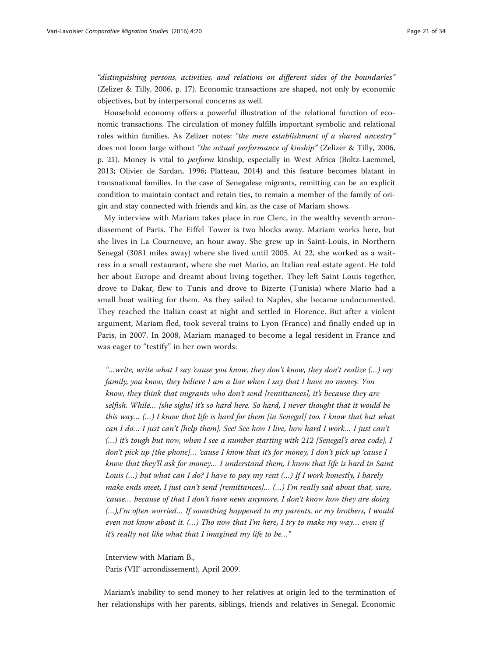"distinguishing persons, activities, and relations on different sides of the boundaries" (Zelizer & Tilly, [2006](#page-33-0), p. 17). Economic transactions are shaped, not only by economic objectives, but by interpersonal concerns as well.

Household economy offers a powerful illustration of the relational function of economic transactions. The circulation of money fulfills important symbolic and relational roles within families. As Zelizer notes: "the mere establishment of a shared ancestry" does not loom large without "the actual performance of kinship" (Zelizer & Tilly, [2006](#page-33-0), p. 21). Money is vital to perform kinship, especially in West Africa (Boltz-Laemmel, [2013](#page-31-0); Olivier de Sardan, [1996](#page-32-0); Platteau, [2014](#page-32-0)) and this feature becomes blatant in transnational families. In the case of Senegalese migrants, remitting can be an explicit condition to maintain contact and retain ties, to remain a member of the family of origin and stay connected with friends and kin, as the case of Mariam shows.

My interview with Mariam takes place in rue Clerc, in the wealthy seventh arrondissement of Paris. The Eiffel Tower is two blocks away. Mariam works here, but she lives in La Courneuve, an hour away. She grew up in Saint-Louis, in Northern Senegal (3081 miles away) where she lived until 2005. At 22, she worked as a waitress in a small restaurant, where she met Mario, an Italian real estate agent. He told her about Europe and dreamt about living together. They left Saint Louis together, drove to Dakar, flew to Tunis and drove to Bizerte (Tunisia) where Mario had a small boat waiting for them. As they sailed to Naples, she became undocumented. They reached the Italian coast at night and settled in Florence. But after a violent argument, Mariam fled, took several trains to Lyon (France) and finally ended up in Paris, in 2007. In 2008, Mariam managed to become a legal resident in France and was eager to "testify" in her own words:

"...write, write what I say 'cause you know, they don't know, they don't realize  $(...)$  my family, you know, they believe I am a liar when I say that I have no money. You know, they think that migrants who don't send [remittances], it's because they are selfish. While... [she sighs] it's so hard here. So hard, I never thought that it would be this way...  $(...)$  I know that life is hard for them [in Senegal] too. I know that but what can I do… I just can't [help them]. See! See how I live, how hard I work… I just can't (…) it's tough but now, when I see a number starting with 212 [Senegal's area code], I don't pick up [the phone]… 'cause I know that it's for money, I don't pick up 'cause I know that they'll ask for money… I understand them, I know that life is hard in Saint Louis (…) but what can I do? I have to pay my rent (…) If I work honestly, I barely make ends meet, I just can't send [remittances]... (...) I'm really sad about that, sure, 'cause… because of that I don't have news anymore, I don't know how they are doing (…),I'm often worried… If something happened to my parents, or my brothers, I would even not know about it. (…) Tho now that I'm here, I try to make my way… even if it's really not like what that I imagined my life to be…"

Interview with Mariam B., Paris (VII° arrondissement), April 2009.

Mariam's inability to send money to her relatives at origin led to the termination of her relationships with her parents, siblings, friends and relatives in Senegal. Economic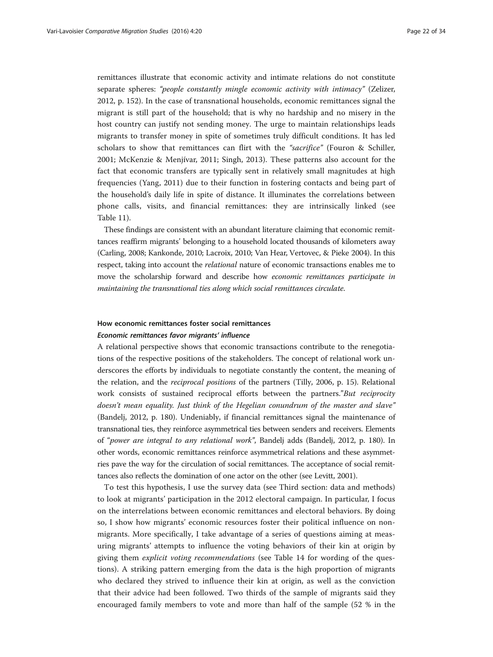remittances illustrate that economic activity and intimate relations do not constitute separate spheres: "people constantly mingle economic activity with intimacy" (Zelizer, [2012](#page-33-0), p. 152). In the case of transnational households, economic remittances signal the migrant is still part of the household; that is why no hardship and no misery in the host country can justify not sending money. The urge to maintain relationships leads migrants to transfer money in spite of sometimes truly difficult conditions. It has led scholars to show that remittances can flirt with the "sacrifice" (Fouron & Schiller, [2001;](#page-31-0) McKenzie & Menjívar, [2011](#page-32-0); Singh, [2013](#page-33-0)). These patterns also account for the fact that economic transfers are typically sent in relatively small magnitudes at high frequencies (Yang, [2011\)](#page-33-0) due to their function in fostering contacts and being part of the household's daily life in spite of distance. It illuminates the correlations between phone calls, visits, and financial remittances: they are intrinsically linked (see Table [11\)](#page-22-0).

These findings are consistent with an abundant literature claiming that economic remittances reaffirm migrants' belonging to a household located thousands of kilometers away (Carling, [2008](#page-31-0); Kankonde, [2010](#page-32-0); Lacroix, [2010](#page-32-0); Van Hear, Vertovec, & Pieke [2004\)](#page-33-0). In this respect, taking into account the relational nature of economic transactions enables me to move the scholarship forward and describe how economic remittances participate in maintaining the transnational ties along which social remittances circulate.

# How economic remittances foster social remittances Economic remittances favor migrants' influence

A relational perspective shows that economic transactions contribute to the renegotiations of the respective positions of the stakeholders. The concept of relational work underscores the efforts by individuals to negotiate constantly the content, the meaning of the relation, and the reciprocal positions of the partners (Tilly, [2006](#page-33-0), p. 15). Relational work consists of sustained reciprocal efforts between the partners."But reciprocity doesn't mean equality. Just think of the Hegelian conundrum of the master and slave" (Bandelj, [2012,](#page-30-0) p. 180). Undeniably, if financial remittances signal the maintenance of transnational ties, they reinforce asymmetrical ties between senders and receivers. Elements of "power are integral to any relational work", Bandelj adds (Bandelj, [2012,](#page-30-0) p. 180). In other words, economic remittances reinforce asymmetrical relations and these asymmetries pave the way for the circulation of social remittances. The acceptance of social remittances also reflects the domination of one actor on the other (see Levitt, [2001\)](#page-32-0).

To test this hypothesis, I use the survey data (see [Third section: data and methods](#page-7-0)) to look at migrants' participation in the 2012 electoral campaign. In particular, I focus on the interrelations between economic remittances and electoral behaviors. By doing so, I show how migrants' economic resources foster their political influence on nonmigrants. More specifically, I take advantage of a series of questions aiming at measuring migrants' attempts to influence the voting behaviors of their kin at origin by giving them explicit voting recommendations (see Table [14](#page-28-0) for wording of the questions). A striking pattern emerging from the data is the high proportion of migrants who declared they strived to influence their kin at origin, as well as the conviction that their advice had been followed. Two thirds of the sample of migrants said they encouraged family members to vote and more than half of the sample (52 % in the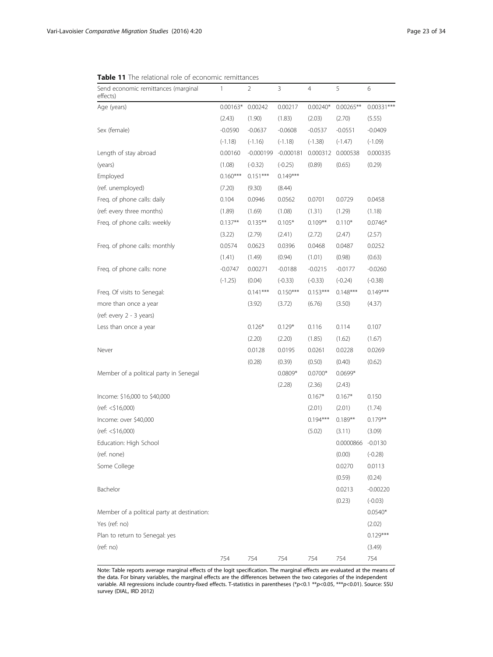| THE TERRIOTRI TOIL OF ECONOTHE TELHILLATICES    |            |             |             |            |                   |              |
|-------------------------------------------------|------------|-------------|-------------|------------|-------------------|--------------|
| Send economic remittances (marginal<br>effects) | 1          | 2           | 3           | 4          | 5                 | 6            |
| Age (years)                                     | $0.00163*$ | 0.00242     | 0.00217     | $0.00240*$ | $0.00265**$       | $0.00331***$ |
|                                                 | (2.43)     | (1.90)      | (1.83)      | (2.03)     | (2.70)            | (5.55)       |
| Sex (female)                                    | $-0.0590$  | $-0.0637$   | $-0.0608$   | $-0.0537$  | $-0.0551$         | $-0.0409$    |
|                                                 | $(-1.18)$  | $(-1.16)$   | $(-1.18)$   | $(-1.38)$  | $(-1.47)$         | $(-1.09)$    |
| Length of stay abroad                           | 0.00160    | $-0.000199$ | $-0.000181$ |            | 0.000312 0.000538 | 0.000335     |
| (years)                                         | (1.08)     | $(-0.32)$   | $(-0.25)$   | (0.89)     | (0.65)            | (0.29)       |
| Employed                                        | $0.160***$ | $0.151***$  | $0.149***$  |            |                   |              |
| (ref. unemployed)                               | (7.20)     | (9.30)      | (8.44)      |            |                   |              |
| Freq. of phone calls: daily                     | 0.104      | 0.0946      | 0.0562      | 0.0701     | 0.0729            | 0.0458       |
| (ref: every three months)                       | (1.89)     | (1.69)      | (1.08)      | (1.31)     | (1.29)            | (1.18)       |
| Freq. of phone calls: weekly                    | $0.137**$  | $0.135***$  | $0.105*$    | $0.109**$  | $0.110*$          | $0.0746*$    |
|                                                 | (3.22)     | (2.79)      | (2.41)      | (2.72)     | (2.47)            | (2.57)       |
| Freq. of phone calls: monthly                   | 0.0574     | 0.0623      | 0.0396      | 0.0468     | 0.0487            | 0.0252       |
|                                                 | (1.41)     | (1.49)      | (0.94)      | (1.01)     | (0.98)            | (0.63)       |
| Freq. of phone calls: none                      | $-0.0747$  | 0.00271     | $-0.0188$   | $-0.0215$  | $-0.0177$         | $-0.0260$    |
|                                                 | $(-1.25)$  | (0.04)      | $(-0.33)$   | $(-0.33)$  | $(-0.24)$         | $(-0.38)$    |
| Freq. Of visits to Senegal:                     |            | $0.141***$  | $0.150***$  | $0.153***$ | $0.148***$        | $0.149***$   |
| more than once a year                           |            | (3.92)      | (3.72)      | (6.76)     | (3.50)            | (4.37)       |
| (ref: every 2 - 3 years)                        |            |             |             |            |                   |              |
| Less than once a year                           |            | $0.126*$    | $0.129*$    | 0.116      | 0.114             | 0.107        |
|                                                 |            | (2.20)      | (2.20)      | (1.85)     | (1.62)            | (1.67)       |
| Never                                           |            | 0.0128      | 0.0195      | 0.0261     | 0.0228            | 0.0269       |
|                                                 |            | (0.28)      | (0.39)      | (0.50)     | (0.40)            | (0.62)       |
| Member of a political party in Senegal          |            |             | $0.0809*$   | $0.0700*$  | $0.0699*$         |              |
|                                                 |            |             | (2.28)      | (2.36)     | (2.43)            |              |
| Income: \$16,000 to \$40,000                    |            |             |             | $0.167*$   | $0.167*$          | 0.150        |
| (ref: < \$16,000)                               |            |             |             | (2.01)     | (2.01)            | (1.74)       |
| Income: over \$40,000                           |            |             |             | $0.194***$ | $0.189**$         | $0.179***$   |
| (ref: < \$16,000)                               |            |             |             | (5.02)     | (3.11)            | (3.09)       |
| Education: High School                          |            |             |             |            | 0.0000866         | $-0.0130$    |
| (ref. none)                                     |            |             |             |            | (0.00)            | $(-0.28)$    |
| Some College                                    |            |             |             |            | 0.0270            | 0.0113       |
|                                                 |            |             |             |            | (0.59)            | (0.24)       |
| Bachelor                                        |            |             |             |            | 0.0213            | $-0.00220$   |
|                                                 |            |             |             |            | (0.23)            | $(-0.03)$    |
| Member of a political party at destination:     |            |             |             |            |                   | $0.0540*$    |
| Yes (ref: no)                                   |            |             |             |            |                   | (2.02)       |
| Plan to return to Senegal: yes                  |            |             |             |            |                   | $0.129***$   |
| (ref: no)                                       |            |             |             |            |                   | (3.49)       |
|                                                 | 754        | 754         | 754         | 754        | 754               | 754          |

<span id="page-22-0"></span>Table 11 The relational role of economic remittances

Note: Table reports average marginal effects of the logit specification. The marginal effects are evaluated at the means of the data. For binary variables, the marginal effects are the differences between the two categories of the independent variable. All regressions include country-fixed effects. T-statistics in parentheses (\*p<0.1 \*\*p<0.05, \*\*\*p<0.01). Source: SSU survey (DIAL, IRD 2012)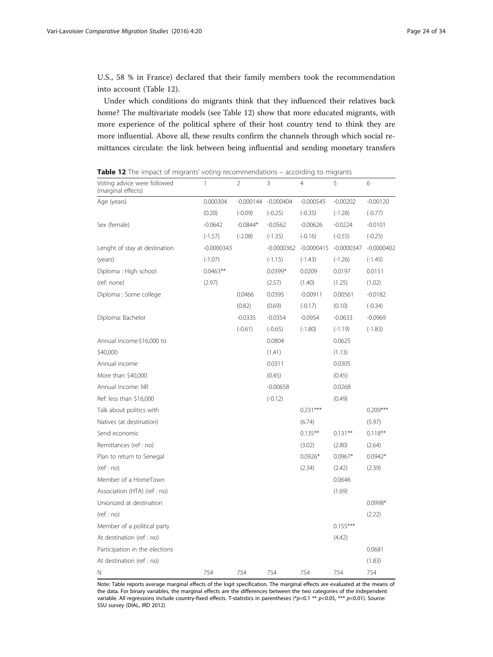U.S., 58 % in France) declared that their family members took the recommendation into account (Table 12).

Under which conditions do migrants think that they influenced their relatives back home? The multivariate models (see Table 12) show that more educated migrants, with more experience of the political sphere of their host country tend to think they are more influential. Above all, these results confirm the channels through which social remittances circulate: the link between being influential and sending monetary transfers

| Voting advice were followed<br>(marginal effects) | 1            | 2           | 3            | 4            | 5            | 6            |
|---------------------------------------------------|--------------|-------------|--------------|--------------|--------------|--------------|
| Age (years)                                       | 0.000304     | $-0.000144$ | $-0.000404$  | $-0.000545$  | $-0.00202$   | $-0.00120$   |
|                                                   | (0.20)       | $(-0.09)$   | $(-0.25)$    | $(-0.35)$    | $(-1.28)$    | $(-0.77)$    |
| Sex (female)                                      | $-0.0642$    | $-0.0844*$  | $-0.0562$    | $-0.00626$   | $-0.0224$    | $-0.0101$    |
|                                                   | $(-1.57)$    | $(-2.08)$   | $(-1.35)$    | $(-0.16)$    | $(-0.55)$    | $(-0.25)$    |
| Lenght of stay at destination                     | $-0.0000343$ |             | $-0.0000362$ | $-0.0000415$ | $-0.0000347$ | $-0.0000402$ |
| (years)                                           | $(-1.07)$    |             | $(-1.15)$    | $(-1.43)$    | $(-1.26)$    | $(-1.45)$    |
| Diploma: High school                              | $0.0463**$   |             | $0.0399*$    | 0.0209       | 0.0197       | 0.0151       |
| (ref: none)                                       | (2.97)       |             | (2.57)       | (1.40)       | (1.25)       | (1.02)       |
| Diploma : Some college                            |              | 0.0466      | 0.0395       | $-0.00911$   | 0.00561      | $-0.0182$    |
|                                                   |              | (0.82)      | (0.69)       | $(-0.17)$    | (0.10)       | $(-0.34)$    |
| Diploma: Bachelor                                 |              | $-0.0335$   | $-0.0354$    | $-0.0954$    | $-0.0633$    | $-0.0969$    |
|                                                   |              | $(-0.61)$   | $(-0.65)$    | $(-1.80)$    | $(-1.19)$    | $(-1.83)$    |
| Annual income:\$16,000 to                         |              |             | 0.0804       |              | 0.0625       |              |
| \$40,000                                          |              |             | (1.41)       |              | (1.13)       |              |
| Annual income                                     |              |             | 0.0311       |              | 0.0305       |              |
| More than \$40,000                                |              |             | (0.45)       |              | (0.45)       |              |
| Annual income: NR                                 |              |             | $-0.00658$   |              | 0.0268       |              |
| Ref: less than \$16,000                           |              |             | $(-0.12)$    |              | (0.49)       |              |
| Talk about politics with                          |              |             |              | $0.231***$   |              | $0.209***$   |
| Natives (at destination)                          |              |             |              | (6.74)       |              | (5.97)       |
| Send economic                                     |              |             |              | $0.135***$   | $0.131***$   | $0.118***$   |
| Remittances (ref : no)                            |              |             |              | (3.02)       | (2.80)       | (2.64)       |
| Plan to return to Senegal                         |              |             |              | $0.0926*$    | $0.0967*$    | $0.0942*$    |
| (ref:no)                                          |              |             |              | (2.34)       | (2.42)       | (2.39)       |
| Member of a HomeTown                              |              |             |              |              | 0.0646       |              |
| Association (HTA) (ref : no)                      |              |             |              |              | (1.69)       |              |
| Unionized at destination                          |              |             |              |              |              | 0.0998*      |
| (ref:no)                                          |              |             |              |              |              | (2.22)       |
| Member of a political party                       |              |             |              |              | $0.155***$   |              |
| At destination (ref : no)                         |              |             |              |              | (4.42)       |              |
| Participation in the elections                    |              |             |              |              |              | 0.0681       |
| At destination (ref : no)                         |              |             |              |              |              | (1.83)       |
| Ν                                                 | 754          | 754         | 754          | 754          | 754          | 754          |

Table 12 The impact of migrants' voting recommendations - according to migrants

Note: Table reports average marginal effects of the logit specification. The marginal effects are evaluated at the means of the data. For binary variables, the marginal effects are the differences between the two categories of the independent variable. All regressions include country-fixed effects. T-statistics in parentheses (\*p<0.1 \*\* p<0.05, \*\*\* p<0.01). Source: SSU survey (DIAL, IRD 2012)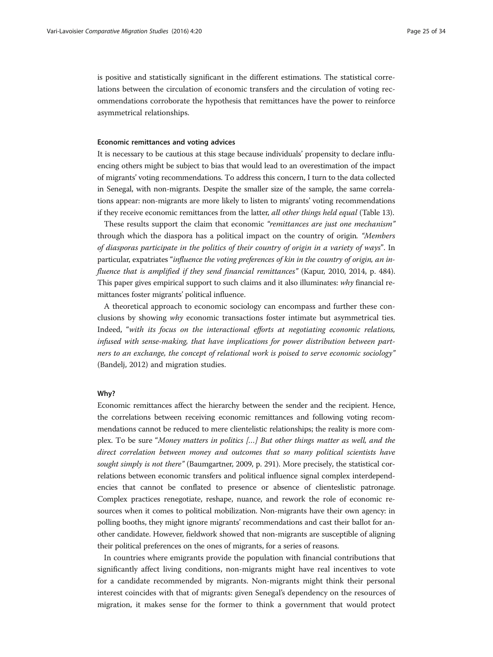is positive and statistically significant in the different estimations. The statistical correlations between the circulation of economic transfers and the circulation of voting recommendations corroborate the hypothesis that remittances have the power to reinforce asymmetrical relationships.

#### Economic remittances and voting advices

It is necessary to be cautious at this stage because individuals' propensity to declare influencing others might be subject to bias that would lead to an overestimation of the impact of migrants' voting recommendations. To address this concern, I turn to the data collected in Senegal, with non-migrants. Despite the smaller size of the sample, the same correlations appear: non-migrants are more likely to listen to migrants' voting recommendations if they receive economic remittances from the latter, *all other things held equal* (Table [13](#page-25-0)).

These results support the claim that economic "remittances are just one mechanism" through which the diaspora has a political impact on the country of origin. "Members of diasporas participate in the politics of their country of origin in a variety of ways". In particular, expatriates "influence the voting preferences of kin in the country of origin, an in-fluence that is amplified if they send financial remittances" (Kapur, [2010, 2014](#page-32-0), p. 484). This paper gives empirical support to such claims and it also illuminates:  $why$  financial remittances foster migrants' political influence.

A theoretical approach to economic sociology can encompass and further these conclusions by showing  $why$  economic transactions foster intimate but asymmetrical ties. Indeed, "with its focus on the interactional efforts at negotiating economic relations, infused with sense-making, that have implications for power distribution between partners to an exchange, the concept of relational work is poised to serve economic sociology" (Bandelj, [2012\)](#page-30-0) and migration studies.

#### Why?

Economic remittances affect the hierarchy between the sender and the recipient. Hence, the correlations between receiving economic remittances and following voting recommendations cannot be reduced to mere clientelistic relationships; the reality is more complex. To be sure "Money matters in politics […] But other things matter as well, and the direct correlation between money and outcomes that so many political scientists have sought simply is not there" (Baumgartner, [2009](#page-30-0), p. 291). More precisely, the statistical correlations between economic transfers and political influence signal complex interdependencies that cannot be conflated to presence or absence of clienteslistic patronage. Complex practices renegotiate, reshape, nuance, and rework the role of economic resources when it comes to political mobilization. Non-migrants have their own agency: in polling booths, they might ignore migrants' recommendations and cast their ballot for another candidate. However, fieldwork showed that non-migrants are susceptible of aligning their political preferences on the ones of migrants, for a series of reasons.

In countries where emigrants provide the population with financial contributions that significantly affect living conditions, non-migrants might have real incentives to vote for a candidate recommended by migrants. Non-migrants might think their personal interest coincides with that of migrants: given Senegal's dependency on the resources of migration, it makes sense for the former to think a government that would protect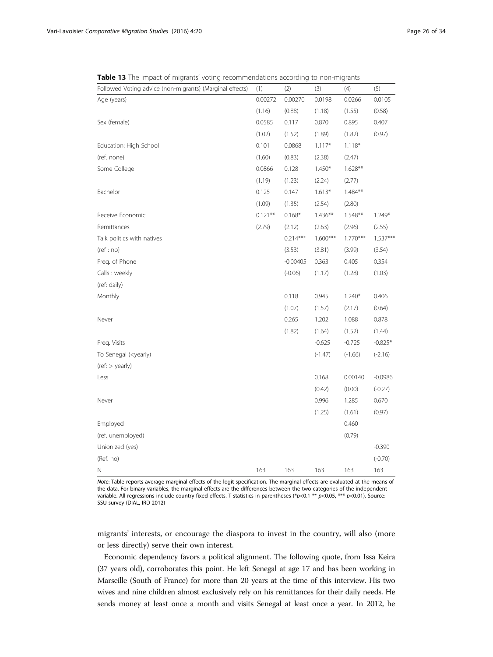<span id="page-25-0"></span>Table 13 The impact of migrants' voting recommendations according to non-migrants

| Followed Voting advice (non-migrants) (Marginal effects)                                                                                          | (1)        | (2)        | (3)        | (4)        | (5)        |
|---------------------------------------------------------------------------------------------------------------------------------------------------|------------|------------|------------|------------|------------|
| Age (years)                                                                                                                                       | 0.00272    | 0.00270    | 0.0198     | 0.0266     | 0.0105     |
|                                                                                                                                                   | (1.16)     | (0.88)     | (1.18)     | (1.55)     | (0.58)     |
| Sex (female)                                                                                                                                      | 0.0585     | 0.117      | 0.870      | 0.895      | 0.407      |
|                                                                                                                                                   | (1.02)     | (1.52)     | (1.89)     | (1.82)     | (0.97)     |
| Education: High School                                                                                                                            | 0.101      | 0.0868     | $1.117*$   | $1.118*$   |            |
| (ref. none)                                                                                                                                       | (1.60)     | (0.83)     | (2.38)     | (2.47)     |            |
| Some College                                                                                                                                      | 0.0866     | 0.128      | $1.450*$   | $1.628**$  |            |
|                                                                                                                                                   | (1.19)     | (1.23)     | (2.24)     | (2.77)     |            |
| Bachelor                                                                                                                                          | 0.125      | 0.147      | $1.613*$   | 1.484**    |            |
|                                                                                                                                                   | (1.09)     | (1.35)     | (2.54)     | (2.80)     |            |
| Receive Economic                                                                                                                                  | $0.121***$ | $0.168*$   | $1.436***$ | $1.548**$  | $1.249*$   |
| Remittances                                                                                                                                       | (2.79)     | (2.12)     | (2.63)     | (2.96)     | (2.55)     |
| Talk politics with natives                                                                                                                        |            | $0.214***$ | $1.600***$ | $1.770***$ | $1.537***$ |
| (ref:no)                                                                                                                                          |            | (3.53)     | (3.81)     | (3.99)     | (3.54)     |
| Freg. of Phone                                                                                                                                    |            | $-0.00405$ | 0.363      | 0.405      | 0.354      |
| Calls: weekly                                                                                                                                     |            | $(-0.06)$  | (1.17)     | (1.28)     | (1.03)     |
| (ref: daily)                                                                                                                                      |            |            |            |            |            |
| Monthly                                                                                                                                           |            | 0.118      | 0.945      | $1.240*$   | 0.406      |
|                                                                                                                                                   |            | (1.07)     | (1.57)     | (2.17)     | (0.64)     |
| Never                                                                                                                                             |            | 0.265      | 1.202      | 1.088      | 0.878      |
|                                                                                                                                                   |            | (1.82)     | (1.64)     | (1.52)     | (1.44)     |
| Freq. Visits                                                                                                                                      |            |            | $-0.625$   | $-0.725$   | $-0.825*$  |
| To Senegal ( <yearly)< td=""><td></td><td></td><td><math>(-1.47)</math></td><td><math>(-1.66)</math></td><td><math>(-2.16)</math></td></yearly)<> |            |            | $(-1.47)$  | $(-1.66)$  | $(-2.16)$  |
| (ref: > yearly)                                                                                                                                   |            |            |            |            |            |
| Less                                                                                                                                              |            |            | 0.168      | 0.00140    | $-0.0986$  |
|                                                                                                                                                   |            |            | (0.42)     | (0.00)     | $(-0.27)$  |
| Never                                                                                                                                             |            |            | 0.996      | 1.285      | 0.670      |
|                                                                                                                                                   |            |            | (1.25)     | (1.61)     | (0.97)     |
| Employed                                                                                                                                          |            |            |            | 0.460      |            |
| (ref. unemployed)                                                                                                                                 |            |            |            | (0.79)     |            |
| Unionized (yes)                                                                                                                                   |            |            |            |            | $-0.390$   |
| (Ref. no)                                                                                                                                         |            |            |            |            | $(-0.70)$  |
| Ν                                                                                                                                                 | 163        | 163        | 163        | 163        | 163        |

Note: Table reports average marginal effects of the logit specification. The marginal effects are evaluated at the means of the data. For binary variables, the marginal effects are the differences between the two categories of the independent variable. All regressions include country-fixed effects. T-statistics in parentheses (\*p<0.1 \*\* p<0.05, \*\*\* p<0.01). Source: SSU survey (DIAL, IRD 2012)

migrants' interests, or encourage the diaspora to invest in the country, will also (more or less directly) serve their own interest.

Economic dependency favors a political alignment. The following quote, from Issa Keira (37 years old), corroborates this point. He left Senegal at age 17 and has been working in Marseille (South of France) for more than 20 years at the time of this interview. His two wives and nine children almost exclusively rely on his remittances for their daily needs. He sends money at least once a month and visits Senegal at least once a year. In 2012, he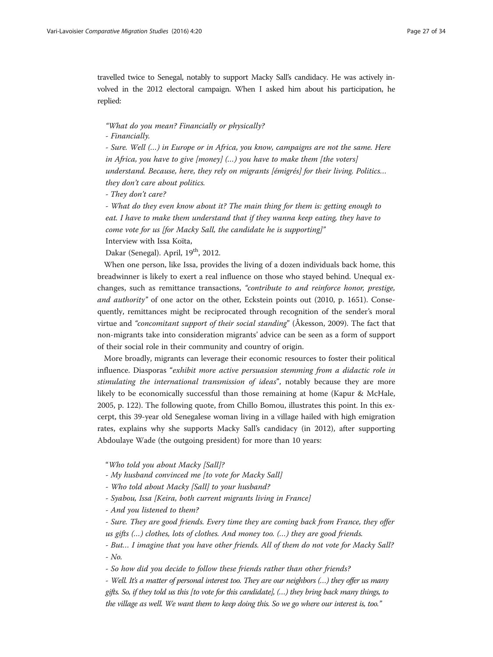travelled twice to Senegal, notably to support Macky Sall's candidacy. He was actively involved in the 2012 electoral campaign. When I asked him about his participation, he replied:

"What do you mean? Financially or physically?

- Financially.

- Sure. Well (…) in Europe or in Africa, you know, campaigns are not the same. Here in Africa, you have to give [money] (…) you have to make them [the voters] understand. Because, here, they rely on migrants [émigrés] for their living. Politics… they don't care about politics.

- They don't care?

- What do they even know about it? The main thing for them is: getting enough to eat. I have to make them understand that if they wanna keep eating, they have to come vote for us [for Macky Sall, the candidate he is supporting]" Interview with Issa Koïta,

Dakar (Senegal). April,  $19<sup>th</sup>$ , 2012.

When one person, like Issa, provides the living of a dozen individuals back home, this breadwinner is likely to exert a real influence on those who stayed behind. Unequal exchanges, such as remittance transactions, "contribute to and reinforce honor, prestige, and authority" of one actor on the other, Eckstein points out [\(2010,](#page-31-0) p. 1651). Consequently, remittances might be reciprocated through recognition of the sender's moral virtue and "concomitant support of their social standing" (Åkesson, [2009\)](#page-30-0). The fact that non-migrants take into consideration migrants' advice can be seen as a form of support of their social role in their community and country of origin.

More broadly, migrants can leverage their economic resources to foster their political influence. Diasporas "exhibit more active persuasion stemming from a didactic role in stimulating the international transmission of ideas", notably because they are more likely to be economically successful than those remaining at home (Kapur & McHale, [2005](#page-32-0), p. 122). The following quote, from Chillo Bomou, illustrates this point. In this excerpt, this 39-year old Senegalese woman living in a village hailed with high emigration rates, explains why she supports Macky Sall's candidacy (in 2012), after supporting Abdoulaye Wade (the outgoing president) for more than 10 years:

"Who told you about Macky [Sall]?

- My husband convinced me [to vote for Macky Sall]

- Who told about Macky [Sall] to your husband?

- Syabou, Issa [Keira, both current migrants living in France]

- And you listened to them?

- Sure. They are good friends. Every time they are coming back from France, they offer us gifts (…) clothes, lots of clothes. And money too. (…) they are good friends.

- But… I imagine that you have other friends. All of them do not vote for Macky Sall? - No.

- So how did you decide to follow these friends rather than other friends?

- Well. It's a matter of personal interest too. They are our neighbors (…) they offer us many gifts. So, if they told us this [to vote for this candidate], (…) they bring back many things, to the village as well. We want them to keep doing this. So we go where our interest is, too."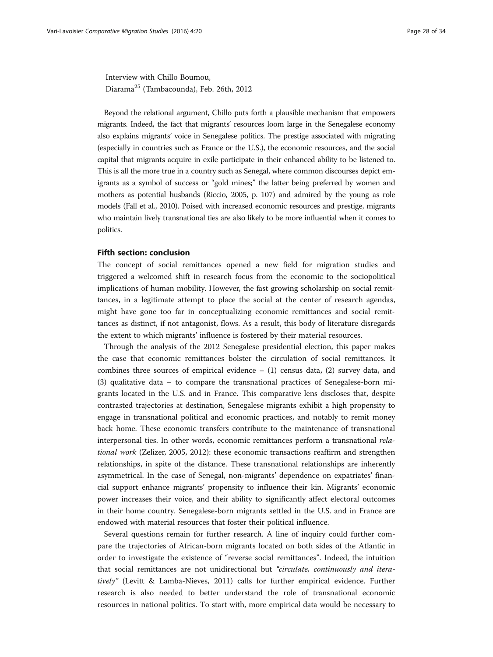Interview with Chillo Boumou, Diarama<sup>25</sup> (Tambacounda), Feb. 26th, 2012

Beyond the relational argument, Chillo puts forth a plausible mechanism that empowers migrants. Indeed, the fact that migrants' resources loom large in the Senegalese economy also explains migrants' voice in Senegalese politics. The prestige associated with migrating (especially in countries such as France or the U.S.), the economic resources, and the social capital that migrants acquire in exile participate in their enhanced ability to be listened to. This is all the more true in a country such as Senegal, where common discourses depict emigrants as a symbol of success or "gold mines;" the latter being preferred by women and mothers as potential husbands (Riccio, [2005,](#page-33-0) p. 107) and admired by the young as role models (Fall et al., [2010\)](#page-31-0). Poised with increased economic resources and prestige, migrants who maintain lively transnational ties are also likely to be more influential when it comes to politics.

# Fifth section: conclusion

The concept of social remittances opened a new field for migration studies and triggered a welcomed shift in research focus from the economic to the sociopolitical implications of human mobility. However, the fast growing scholarship on social remittances, in a legitimate attempt to place the social at the center of research agendas, might have gone too far in conceptualizing economic remittances and social remittances as distinct, if not antagonist, flows. As a result, this body of literature disregards the extent to which migrants' influence is fostered by their material resources.

Through the analysis of the 2012 Senegalese presidential election, this paper makes the case that economic remittances bolster the circulation of social remittances. It combines three sources of empirical evidence  $- (1)$  census data,  $(2)$  survey data, and (3) qualitative data – to compare the transnational practices of Senegalese-born migrants located in the U.S. and in France. This comparative lens discloses that, despite contrasted trajectories at destination, Senegalese migrants exhibit a high propensity to engage in transnational political and economic practices, and notably to remit money back home. These economic transfers contribute to the maintenance of transnational interpersonal ties. In other words, economic remittances perform a transnational relational work (Zelizer, [2005, 2012](#page-33-0)): these economic transactions reaffirm and strengthen relationships, in spite of the distance. These transnational relationships are inherently asymmetrical. In the case of Senegal, non-migrants' dependence on expatriates' financial support enhance migrants' propensity to influence their kin. Migrants' economic power increases their voice, and their ability to significantly affect electoral outcomes in their home country. Senegalese-born migrants settled in the U.S. and in France are endowed with material resources that foster their political influence.

Several questions remain for further research. A line of inquiry could further compare the trajectories of African-born migrants located on both sides of the Atlantic in order to investigate the existence of "reverse social remittances". Indeed, the intuition that social remittances are not unidirectional but "circulate, continuously and iteratively" (Levitt & Lamba-Nieves, [2011](#page-32-0)) calls for further empirical evidence. Further research is also needed to better understand the role of transnational economic resources in national politics. To start with, more empirical data would be necessary to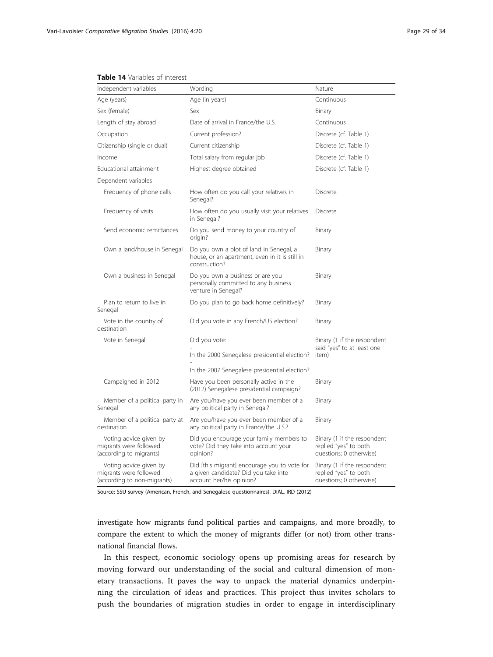#### <span id="page-28-0"></span>Table 14 Variables of interest

| Independent variables                                                           | Wording                                                                                                          | Nature                                                                          |
|---------------------------------------------------------------------------------|------------------------------------------------------------------------------------------------------------------|---------------------------------------------------------------------------------|
| Age (years)                                                                     | Age (in years)                                                                                                   | Continuous                                                                      |
| Sex (female)                                                                    | Sex                                                                                                              | Binary                                                                          |
| Length of stay abroad                                                           | Date of arrival in France/the U.S.                                                                               | Continuous                                                                      |
| Occupation                                                                      | Current profession?                                                                                              | Discrete (cf. Table 1)                                                          |
| Citizenship (single or dual)                                                    | Current citizenship                                                                                              | Discrete (cf. Table 1)                                                          |
| Income                                                                          | Total salary from regular job                                                                                    | Discrete (cf. Table 1)                                                          |
| Educational attainment                                                          | Highest degree obtained                                                                                          | Discrete (cf. Table 1)                                                          |
| Dependent variables                                                             |                                                                                                                  |                                                                                 |
| Frequency of phone calls                                                        | How often do you call your relatives in<br>Senegal?                                                              | Discrete                                                                        |
| Frequency of visits                                                             | How often do you usually visit your relatives<br>in Senegal?                                                     | Discrete                                                                        |
| Send economic remittances                                                       | Do you send money to your country of<br>origin?                                                                  | Binary                                                                          |
| Own a land/house in Senegal                                                     | Do you own a plot of land in Senegal, a<br>house, or an apartment, even in it is still in<br>construction?       | Binary                                                                          |
| Own a business in Senegal                                                       | Do you own a business or are you<br>personally committed to any business<br>venture in Senegal?                  | Binary                                                                          |
| Plan to return to live in<br>Senegal                                            | Do you plan to go back home definitively?                                                                        | Binary                                                                          |
| Vote in the country of<br>destination                                           | Did you vote in any French/US election?                                                                          | Binary                                                                          |
| Vote in Senegal                                                                 | Did you vote:                                                                                                    | Binary (1 if the respondent<br>said "yes" to at least one                       |
|                                                                                 | In the 2000 Senegalese presidential election?                                                                    | item)                                                                           |
|                                                                                 | In the 2007 Senegalese presidential election?                                                                    |                                                                                 |
| Campaigned in 2012                                                              | Have you been personally active in the<br>(2012) Senegalese presidential campaign?                               | Binary                                                                          |
| Member of a political party in<br>Senegal                                       | Are you/have you ever been member of a<br>any political party in Senegal?                                        | Binary                                                                          |
| Member of a political party at<br>destination                                   | Are you/have you ever been member of a<br>any political party in France/the U.S.?                                | Binary                                                                          |
| Voting advice given by<br>migrants were followed<br>(according to migrants)     | Did you encourage your family members to<br>vote? Did they take into account your<br>opinion?                    | Binary (1 if the respondent<br>replied "yes" to both<br>questions; 0 otherwise) |
| Voting advice given by<br>migrants were followed<br>(according to non-migrants) | Did [this migrant] encourage you to vote for<br>a given candidate? Did you take into<br>account her/his opinion? | Binary (1 if the respondent<br>replied "yes" to both<br>questions; 0 otherwise) |

Source: SSU survey (American, French, and Senegalese questionnaires). DIAL, IRD (2012)

investigate how migrants fund political parties and campaigns, and more broadly, to compare the extent to which the money of migrants differ (or not) from other transnational financial flows.

In this respect, economic sociology opens up promising areas for research by moving forward our understanding of the social and cultural dimension of monetary transactions. It paves the way to unpack the material dynamics underpinning the circulation of ideas and practices. This project thus invites scholars to push the boundaries of migration studies in order to engage in interdisciplinary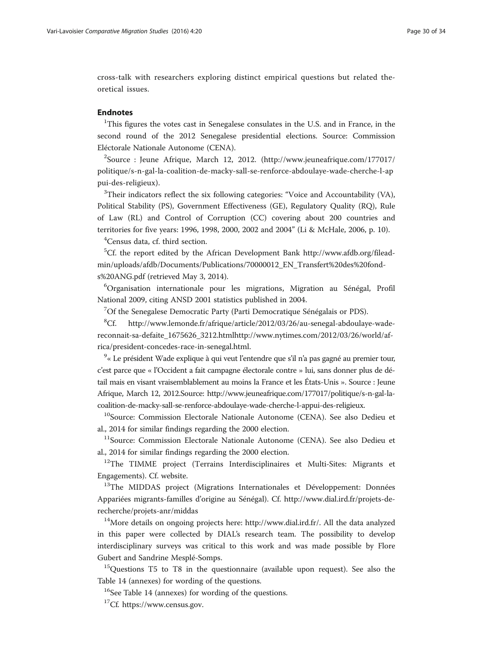cross-talk with researchers exploring distinct empirical questions but related theoretical issues.

# Endnotes

<sup>1</sup>This figures the votes cast in Senegalese consulates in the U.S. and in France, in the second round of the 2012 Senegalese presidential elections. Source: Commission Eléctorale Nationale Autonome (CENA).

<sup>2</sup>Source : Jeune Afrique, March 12, 2012. ([http://www.jeuneafrique.com/177017/](http://www.jeuneafrique.com/177017/politique/s-n-gal-la-coalition-de-macky-sall-se-renforce-abdoulaye-wade-cherche-l-appui-des-religieux) [politique/s-n-gal-la-coalition-de-macky-sall-se-renforce-abdoulaye-wade-cherche-l-ap](http://www.jeuneafrique.com/177017/politique/s-n-gal-la-coalition-de-macky-sall-se-renforce-abdoulaye-wade-cherche-l-appui-des-religieux) [pui-des-religieux\)](http://www.jeuneafrique.com/177017/politique/s-n-gal-la-coalition-de-macky-sall-se-renforce-abdoulaye-wade-cherche-l-appui-des-religieux).

<sup>3</sup>Their indicators reflect the six following categories: "Voice and Accountability (VA), Political Stability (PS), Government Effectiveness (GE), Regulatory Quality (RQ), Rule of Law (RL) and Control of Corruption (CC) covering about 200 countries and territories for five years: 1996, 1998, 2000, 2002 and 2004" (Li & McHale, [2006,](#page-32-0) p. 10).

<sup>4</sup>Census data, cf. third section.

<sup>5</sup>Cf. the report edited by the African Development Bank [http://www.afdb.org/filead](http://www.afdb.org/fileadmin/uploads/afdb/Documents/Publications/70000012_EN_Transfert%20des%20fonds%20ANG.pdf)[min/uploads/afdb/Documents/Publications/70000012\\_EN\\_Transfert%20des%20fond](http://www.afdb.org/fileadmin/uploads/afdb/Documents/Publications/70000012_EN_Transfert%20des%20fonds%20ANG.pdf)[s%20ANG.pdf](http://www.afdb.org/fileadmin/uploads/afdb/Documents/Publications/70000012_EN_Transfert%20des%20fonds%20ANG.pdf) (retrieved May 3, 2014).

6 Organisation internationale pour les migrations, Migration au Sénégal, Profil National 2009, citing ANSD 2001 statistics published in 2004.

<sup>7</sup>Of the Senegalese Democratic Party (Parti Democratique Sénégalais or PDS).

 ${}^{8}Cf.$ http://www.lemonde.fr/afrique/article/2012/03/26/au-senegal-abdoulaye-wade[reconnait-sa-defaite\\_1675626\\_3212.html](http://www.lemonde.fr/afrique/article/2012/03/26/au-senegal-abdoulaye-wade-reconnait-sa-defaite_1675626_3212.html)[http://www.nytimes.com/2012/03/26/world/af](http://www.nytimes.com/2012/03/26/world/africa/president-concedes-race-in-senegal.html)[rica/president-concedes-race-in-senegal.html](http://www.nytimes.com/2012/03/26/world/africa/president-concedes-race-in-senegal.html).

 $^{9}$ « Le président Wade explique à qui veut l'entendre que s'il n'a pas gagné au premier tour, c'est parce que « l'Occident a fait campagne électorale contre » lui, sans donner plus de détail mais en visant vraisemblablement au moins la France et les États-Unis ». Source : Jeune Afrique, March 12, 2012.Source: [http://www.jeuneafrique.com/177017/politique/s-n-gal-la](http://www.jeuneafrique.com/177017/politique/s-n-gal-la-coalition-de-macky-sall-se-renforce-abdoulaye-wade-cherche-l-appui-des-religieux)[coalition-de-macky-sall-se-renforce-abdoulaye-wade-cherche-l-appui-des-religieux](http://www.jeuneafrique.com/177017/politique/s-n-gal-la-coalition-de-macky-sall-se-renforce-abdoulaye-wade-cherche-l-appui-des-religieux).

<sup>10</sup>Source: Commission Electorale Nationale Autonome (CENA). See also Dedieu et al., 2014 for similar findings regarding the 2000 election.

<sup>11</sup>Source: Commission Electorale Nationale Autonome (CENA). See also Dedieu et al., 2014 for similar findings regarding the 2000 election.

<sup>12</sup>The TIMME project (Terrains Interdisciplinaires et Multi-Sites: Migrants et Engagements). Cf. [website.](https://sites.google.com/site/enquetetimme/home)

<sup>13</sup>The MIDDAS project (Migrations Internationales et Développement: Données Appariées migrants-familles d'origine au Sénégal). Cf. [http://www.dial.ird.fr/projets-de](http://www.dial.ird.fr/projets-de-recherche/projets-anr/middas)[recherche/projets-anr/middas](http://www.dial.ird.fr/projets-de-recherche/projets-anr/middas)

<sup>14</sup>More details on ongoing projects here: [http://www.dial.ird.fr/.](http://www.dial.ird.fr/) All the data analyzed in this paper were collected by DIAL's research team. The possibility to develop interdisciplinary surveys was critical to this work and was made possible by Flore Gubert and Sandrine Mesplé-Somps.

<sup>15</sup>Questions T5 to T8 in the questionnaire (available upon request). See also the Table [14](#page-28-0) (annexes) for wording of the questions.

<sup>16</sup>See Table [14](#page-28-0) (annexes) for wording of the questions.

<sup>17</sup>Cf. [https://www.census.gov.](https://www.census.gov)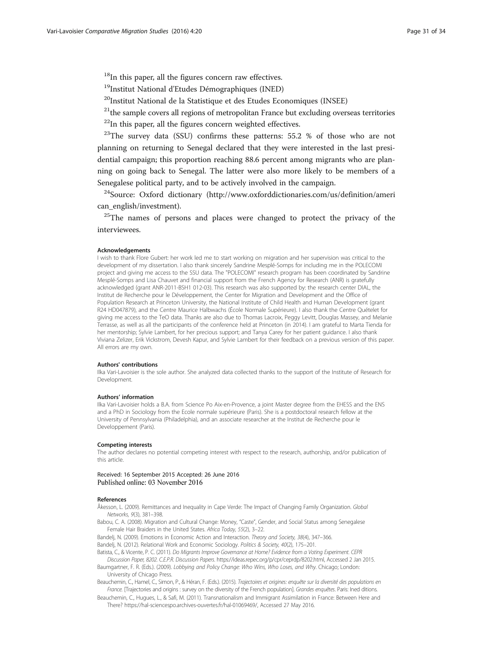<span id="page-30-0"></span><sup>18</sup>In this paper, all the figures concern raw effectives.

<sup>19</sup>Institut National d'Etudes Démographiques (INED)

<sup>20</sup>Institut National de la Statistique et des Etudes Economiques (INSEE)

 $21$ <sup>the</sup> sample covers all regions of metropolitan France but excluding overseas territories

 $22$ In this paper, all the figures concern weighted effectives.

 $^{23}$ The survey data (SSU) confirms these patterns: 55.2 % of those who are not planning on returning to Senegal declared that they were interested in the last presidential campaign; this proportion reaching 88.6 percent among migrants who are planning on going back to Senegal. The latter were also more likely to be members of a Senegalese political party, and to be actively involved in the campaign.

<sup>24</sup>Source: Oxford dictionary ([http://www.oxforddictionaries.com/us/definition/ameri](http://www.oxforddictionaries.com/us/definition/american_english/investment) [can\\_english/investment\)](http://www.oxforddictionaries.com/us/definition/american_english/investment).

<sup>25</sup>The names of persons and places were changed to protect the privacy of the interviewees.

#### Acknowledgements

I wish to thank Flore Gubert: her work led me to start working on migration and her supervision was critical to the development of my dissertation. I also thank sincerely Sandrine Mesplé-Somps for including me in the POLECOMI project and giving me access to the SSU data. The "POLECOMI" research program has been coordinated by Sandrine Mesplé-Somps and Lisa Chauvet and financial support from the French Agency for Research (ANR) is gratefully acknowledged (grant ANR-2011-BSH1 012-03). This research was also supported by: the research center DIAL, the Institut de Recherche pour le Développement, the Center for Migration and Development and the Office of Population Research at Princeton University, the National Institute of Child Health and Human Development (grant R24 HD047879), and the Centre Maurice Halbwachs (École Normale Supérieure). I also thank the Centre Quételet for giving me access to the TeO data. Thanks are also due to Thomas Lacroix, Peggy Levitt, Douglas Massey, and Melanie Terrasse, as well as all the participants of the conference held at Princeton (in 2014). I am grateful to Marta Tienda for her mentorship; Sylvie Lambert, for her precious support; and Tanya Carey for her patient guidance. I also thank Viviana Zelizer, Erik Vickstrom, Devesh Kapur, and Sylvie Lambert for their feedback on a previous version of this paper. All errors are my own.

#### Authors' contributions

Ilka Vari-Lavoisier is the sole author. She analyzed data collected thanks to the support of the Institute of Research for Development.

#### Authors' information

Ilka Vari-Lavoisier holds a B.A. from Science Po Aix-en-Provence, a joint Master degree from the EHESS and the ENS and a PhD in Sociology from the Ecole normale supérieure (Paris). She is a postdoctoral research fellow at the University of Pennsylvania (Philadelphia), and an associate researcher at the Institut de Recherche pour le Developpement (Paris).

#### Competing interests

The author declares no potential competing interest with respect to the research, authorship, and/or publication of this article.

Received: 16 September 2015 Accepted: 26 June 2016 Published online: 03 November 2016

## References

Åkesson, L. (2009). Remittances and Inequality in Cape Verde: The Impact of Changing Family Organization. Global Networks, 9(3), 381–398.

Babou, C. A. (2008). Migration and Cultural Change: Money, "Caste", Gender, and Social Status among Senegalese Female Hair Braiders in the United States. Africa Today, 55(2), 3–22.

Bandelj, N. (2009). Emotions in Economic Action and Interaction. Theory and Society, 38(4), 347–366. Bandelj, N. (2012). Relational Work and Economic Sociology. Politics & Society, 40(2), 175-201.

Batista, C., & Vicente, P. C. (2011). Do Migrants Improve Governance at Home? Evidence from a Voting Experiment. CEPR

Discussion Paper, 8202. C.E.P.R. Discussion Papers. [https://ideas.repec.org/p/cpr/ceprdp/8202.html,](https://ideas.repec.org/p/cpr/ceprdp/8202.html) Accessed 2 Jan 2015. Baumgartner, F. R. (Eds.). (2009). Lobbying and Policy Change: Who Wins, Who Loses, and Why. Chicago; London: University of Chicago Press.

Beauchemin, C., Hamel, C., Simon, P., & Héran, F. (Eds.). (2015). Trajectoires et origines: enquête sur la diversité des populations en France. [Trajectories and origins : survey on the diversity of the French population]. Grandes enquêtes. Paris: Ined ditions.

Beauchemin, C., Hugues, L., & Safi, M. (2011). Transnationalism and Immigrant Assimilation in France: Between Here and There? https://hal-sciencespo.archives-ouvertes.fr/hal-01069469/, Accessed 27 May 2016.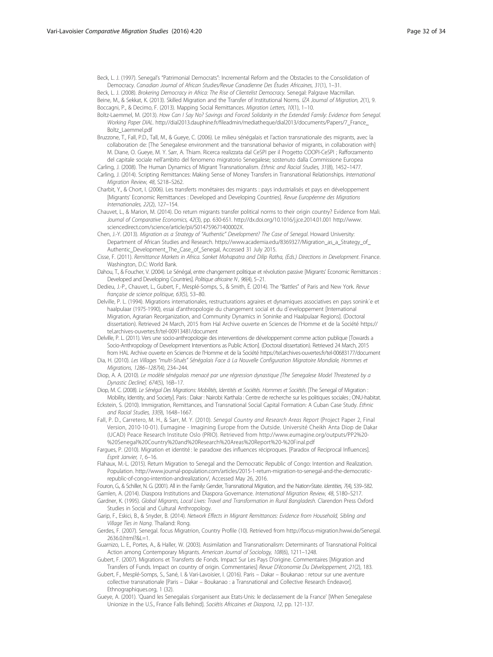<span id="page-31-0"></span>Beck, L. J. (1997). Senegal's "Patrimonial Democrats": Incremental Reform and the Obstacles to the Consolidation of Democracy. Canadian Journal of African Studies/Revue Canadienne Des Études Africaines, 31(1), 1–31.

Beck, L. J. (2008). Brokering Democracy in Africa: The Rise of Clientelist Democracy. Senegal: Palgrave Macmillan. Beine, M., & Sekkat, K. (2013). Skilled Migration and the Transfer of Institutional Norms. IZA Journal of Migration, 2(1), 9. Boccagni, P., & Decimo, F. (2013). Mapping Social Remittances. Migration Letters, 10(1), 1–10.

- Boltz-Laemmel, M. (2013). How Can I Say No? Savings and Forced Solidarity in the Extended Family: Evidence from Senegal. Working Paper DIAL. [http://dial2013.dauphine.fr/fileadmin/mediatheque/dial2013/documents/Papers/7\\_France\\_](http://dial2013.dauphine.fr/fileadmin/mediatheque/dial2013/documents/Papers/7_France_Boltz_Laemmel.pdf) [Boltz\\_Laemmel.pdf](http://dial2013.dauphine.fr/fileadmin/mediatheque/dial2013/documents/Papers/7_France_Boltz_Laemmel.pdf)
- Bruzzone, T., Fall, P.D., Tall, M., & Gueye, C. (2006). Le milieu sénégalais et l'action transnationale des migrants, avec la collaboration de: [The Senegalese environment and the transnational behavior of migrants, in collaboration with] M. Diane, O. Gueye, M. Y. Sarr, A. Thiam. Ricerca realizzata dal CeSPI per il Progetto COOPI-CeSPI ; Rafforzamento del capitale sociale nell'ambito del fenomeno migratorio Senegalese; sostenuto dalla Commissione Europea
- Carling, J. (2008). The Human Dynamics of Migrant Transnationalism. Ethnic and Racial Studies, 31(8), 1452–1477. Carling, J. (2014). Scripting Remittances: Making Sense of Money Transfers in Transnational Relationships. International Migration Review, 48, S218–S262.
- Charbit, Y., & Chort, I. (2006). Les transferts monétaires des migrants : pays industrialisés et pays en développement [Migrants' Economic Remittances : Developed and Developing Countries]. Revue Européenne des Migrations Internationales, 22(2), 127-154.
- Chauvet, L., & Marion, M. (2014). Do return migrants transfer political norms to their origin country? Evidence from Mali. Journal of Comparative Economics, 42(3), pp. 630-651.<http://dx.doi.org/10.1016/j.jce.2014.01.001> [http://www.](http://www.sciencedirect.com/science/article/pii/S014759671400002X) [sciencedirect.com/science/article/pii/S014759671400002X](http://www.sciencedirect.com/science/article/pii/S014759671400002X).
- Chen, J.-Y. (2013). Migration as a Strategy of "Authentic" Development? The Case of Senegal. Howard University: Department of African Studies and Research. [https://www.academia.edu/8369327/Migration\\_as\\_a\\_Strategy\\_of\\_](https://www.academia.edu/8369327/Migration_as_a_Strategy_of_Authentic_Development_The_Case_of_Senegal) [Authentic\\_Development\\_The\\_Case\\_of\\_Senegal,](https://www.academia.edu/8369327/Migration_as_a_Strategy_of_Authentic_Development_The_Case_of_Senegal) Accessed 31 July 2015.
- Cisse, F. (2011). Remittance Markets in Africa. Sanket Mohapatra and Dilip Ratha, (Eds.) Directions in Development. Finance. Washington, D.C: World Bank.
- Dahou, T., & Foucher, V. (2004). Le Sénégal, entre changement politique et révolution passive [Migrants' Economic Remittances : Developed and Developing Countries]. Politique africaine N, 96(4), 5-21.
- Dedieu, J.-P., Chauvet, L., Gubert, F., Mesplé-Somps, S., & Smith, É. (2014). The "Battles" of Paris and New York. Revue française de science politique, 63(5), 53–80.
- Delville, P. L. (1994). Migrations internationales, restructurations agraires et dynamiques associatives en pays sonink´e et haalpulaar (1975-1990), essai d'anthropologie du changement social et du d´eveloppement [International Migration, Agrarian Reorganization, and Community Dynamics in Soninke and Haalpulaar Regions]. (Doctoral dissertation). Retrieved 24 March, 2015 from Hal Archive ouverte en Sciences de l'Homme et de la Société [https://](https://tel.archives-ouvertes.fr/tel-00913481/document) [tel.archives-ouvertes.fr/tel-00913481/document](https://tel.archives-ouvertes.fr/tel-00913481/document)
- Delville, P. L. (2011). Vers une socio-anthropologie des interventions de développement comme action publique [Towards a Socio-Anthropology of Development Interventions as Public Action]. (Doctoral dissertation). Retrieved 24 March, 2015 from HAL Archive ouverte en Sciences de l'Homme et de la Société<https://tel.archives-ouvertes.fr/tel-00683177/document>
- Dia, H. (2010). Les Villages "multi-Situés" Sénégalais Face à La Nouvelle Configuration Migratoire Mondiale, Hommes et Migrations, 1286–1287(4), 234–244.
- Diop, A. A. (2010). Le modèle sénégalais menacé par une régression dynastique [The Senegalese Model Threatened by a Dynastic Decline]. 674(5), 16B–17.
- Diop, M. C. (2008). Le Sénégal Des Migrations: Mobilités, Identités et Sociétés. Hommes et Sociétés. [The Senegal of Migration : Mobility, Identity, and Society]. Paris : Dakar : Nairobi: Karthala : Centre de recherche sur les politiques sociales ; ONU-habitat.
- Eckstein, S. (2010). Immigration, Remittances, and Transnational Social Capital Formation: A Cuban Case Study. Ethnic and Racial Studies, 33(9), 1648–1667.
- Fall, P. D., Carretero, M. H., & Sarr, M. Y. (2010). Senegal Country and Research Areas Report (Project Paper 2, Final Version, 2010-10-01). Eumagine - Imagining Europe from the Outside. Université Cheikh Anta Diop de Dakar (UCAD) Peace Research Institute Oslo (PRIO). Retrieved from [http://www.eumagine.org/outputs/PP2%20-](http://www.eumagine.org/outputs/PP2%20-%20Senegal%20Country%20and%20Research%20Areas%20Report%20-%20Final.pdf) [%20Senegal%20Country%20and%20Research%20Areas%20Report%20-%20Final.pdf](http://www.eumagine.org/outputs/PP2%20-%20Senegal%20Country%20and%20Research%20Areas%20Report%20-%20Final.pdf)

Fargues, P. (2010). Migration et identité : le paradoxe des influences réciproques. [Paradox of Reciprocal Influences]. Esprit Janvier, 1, 6–16.

Flahaux, M.-L. (2015). Return Migration to Senegal and the Democratic Republic of Congo: Intention and Realization. Population. http://www.journal-population.com/articles/2015-1-return-migration-to-senegal-and-the-democraticrepublic-of-congo-intention-andrealization/, Accessed May 26, 2016.

Fouron, G., & Schiller, N. G. (2001). All in the Family: Gender, Transnational Migration, and the Nation-State. Identities, 7(4), 539-582. Gamlen, A. (2014). Diaspora Institutions and Diaspora Governance. International Migration Review, 48, S180–S217.

Gardner, K. (1995). Global Migrants, Local Lives: Travel and Transformation in Rural Bangladesh. Clarendon Press Oxford Studies in Social and Cultural Anthropology.

- Garip, F., Eskici, B., & Snyder, B. (2014). Network Effects in Migrant Remittances: Evidence from Household, Sibling and Village Ties in Nang. Thailand: Rong.
- Gerdes, F. (2007). Senegal. focus Migratrion, Country Profile (10). Retrieved from [http://focus-migration.hwwi.de/Senegal.](http://focus-migration.hwwi.de/Senegal.2636.0.html?&L=1) [2636.0.html?&L=1.](http://focus-migration.hwwi.de/Senegal.2636.0.html?&L=1)

Guarnizo, L. E., Portes, A., & Haller, W. (2003). Assimilation and Transnationalism: Determinants of Transnational Political Action among Contemporary Migrants. American Journal of Sociology, 108(6), 1211–1248.

Gubert, F. (2007). Migrations et Transferts de Fonds. Impact Sur Les Pays D'origine. Commentaires [Migration and Transfers of Funds. Impact on country of origin. Commentaries] Revue D'économie Du Développement, 21(2), 183.

Gubert, F., Mesplé-Somps, S., Sané, I. & Vari-Lavoisier, I. (2016). Paris – Dakar – Boukanao : retour sur une aventure collective transnationale [Paris – Dakar – Boukanao : a Transnational and Collective Research Endeavor]. Ethnographiques.org, 1 (32).

Gueye, A. (2001). 'Quand les Senegalais s'organisent aux Etats-Unis: le declassement de la France' [When Senegalese Unionize in the U.S., France Falls Behind]. Sociétis Africaines et Diaspora, 12, pp. 121-137.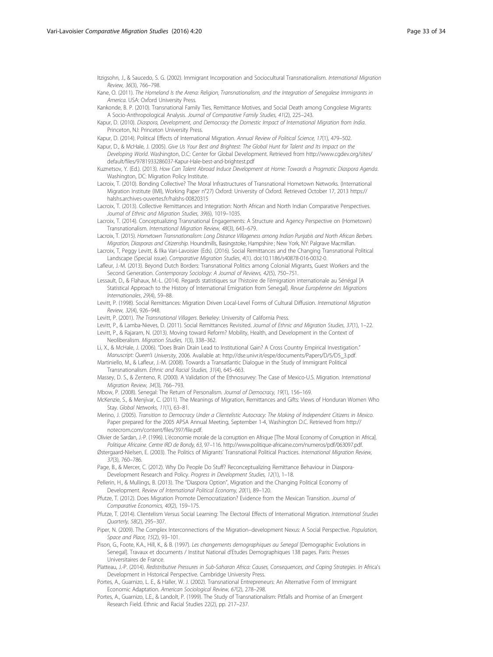<span id="page-32-0"></span>Itzigsohn, J., & Saucedo, S. G. (2002). Immigrant Incorporation and Sociocultural Transnationalism. International Migration Review, 36(3), 766–798.

Kane, O. (2011). The Homeland Is the Arena: Religion, Transnationalism, and the Integration of Senegalese Immigrants in America. USA: Oxford University Press.

Kankonde, B. P. (2010). Transnational Family Ties, Remittance Motives, and Social Death among Congolese Migrants: A Socio-Anthropological Analysis. Journal of Comparative Family Studies, 41(2), 225–243.

Kapur, D. (2010). Diaspora, Development, and Democracy the Domestic Impact of International Migration from India. Princeton, NJ: Princeton University Press.

Kapur, D., & McHale, J. (2005). Give Us Your Best and Brightest: The Global Hunt for Talent and Its Impact on the Developing World. Washington, D.C: Center for Global Development. Retrieved from [http://www.cgdev.org/sites/](http://www.cgdev.org/sites/default/files/9781933286037-Kapur-Hale-best-and-brightest.pdf) [default/files/9781933286037-Kapur-Hale-best-and-brightest.pdf](http://www.cgdev.org/sites/default/files/9781933286037-Kapur-Hale-best-and-brightest.pdf)

Kuznetsov, Y. (Ed.). (2013). How Can Talent Abroad Induce Development at Home: Towards a Pragmatic Diaspora Agenda. Washington, DC: Migration Policy Institute.

Lacroix, T. (2010). Bonding Collective? The Moral Infrastructures of Transnational Hometown Networks. (International Migration Institute (IMI), Working Paper n°27) Oxford: University of Oxford. Retrieved October 17, 2013 [https://](https://halshs.archives-ouvertes.fr/halshs-00820315) [halshs.archives-ouvertes.fr/halshs-00820315](https://halshs.archives-ouvertes.fr/halshs-00820315)

Lacroix, T. (2013). Collective Remittances and Integration: North African and North Indian Comparative Perspectives. Journal of Ethnic and Migration Studies, 39(6), 1019–1035.

Lacroix, T. (2014). Conceptualizing Transnational Engagements: A Structure and Agency Perspective on (Hometown) Transnationalism. International Migration Review, 48(3), 643–679.

Lacroix, T. (2015). Hometown Transnationalism: Long Distance Villageness among Indian Punjabis and North African Berbers. Migration, Diasporas and Citizenship. Houndmills, Basingstoke, Hampshire ; New York, NY: Palgrave Macmillan.

Lacroix, T, Peggy Levitt, & Ilka Vari-Lavoisier (Eds). (2016). Social Remittances and the Changing Transnational Political Landscape (Special issue). Comparative Migration Studies, 4(1). doi:[10.1186/s40878-016-0032-0](http://dx.doi.org/10.1186/s40878-016-0032-0).

Lafleur, J.-M. (2013). Beyond Dutch Borders: Transnational Politics among Colonial Migrants, Guest Workers and the Second Generation. Contemporary Sociology: A Journal of Reviews, 42(5), 750–751.

Lessault, D., & Flahaux, M.-L. (2014). Regards statistiques sur l'histoire de l'émigration internationale au Sénégal [A Statistical Approach to the History of International Emigration from Senegal]. Revue Européenne des Migrations Internationales, 29(4), 59–88.

Levitt, P. (1998). Social Remittances: Migration Driven Local-Level Forms of Cultural Diffusion. International Migration Review, 32(4), 926–948.

Levitt, P. (2001). The Transnational Villagers. Berkeley: University of California Press.

Levitt, P., & Lamba-Nieves, D. (2011). Social Remittances Revisited. Journal of Ethnic and Migration Studies, 37(1), 1–22. Levitt, P., & Rajaram, N. (2013). Moving toward Reform? Mobility, Health, and Development in the Context of Neoliberalism. Migration Studies, 1(3), 338–362.

Li, X., & McHale, J. (2006). "Does Brain Drain Lead to Institutional Gain? A Cross Country Empirical Investigation." Manuscript: Queen's University, 2006. Available at: [http://dse.univr.it/espe/documents/Papers/D/5/D5\\_3.pdf.](http://dse.univr.it/espe/documents/Papers/D/5/D5_3.pdf)

Martiniello, M., & Lafleur, J.-M. (2008). Towards a Transatlantic Dialogue in the Study of Immigrant Political Transnationalism. Ethnic and Racial Studies, 31(4), 645–663.

Massey, D. S., & Zenteno, R. (2000). A Validation of the Ethnosurvey: The Case of Mexico-U.S. Migration. International Migration Review, 34(3), 766–793.

Mbow, P. (2008). Senegal: The Return of Personalism. Journal of Democracy, 19(1), 156–169.

McKenzie, S., & Menjívar, C. (2011). The Meanings of Migration, Remittances and Gifts: Views of Honduran Women Who Stay. Global Networks, 11(1), 63-81.

Merino, J. (2005). Transition to Democracy Under a Clientelistic Autocracy: The Making of Independent Citizens in Mexico. Paper prepared for the 2005 APSA Annual Meeting, September 1-4, Washington D.C. Retrieved from [http://](http://notecrom.com/content/files/397/file.pdf) [notecrom.com/content/files/397/file.pdf](http://notecrom.com/content/files/397/file.pdf).

Olivier de Sardan, J.-P. (1996). L'économie morale de la corruption en Afrique [The Moral Economy of Corruption in Africa]. Politique Africaine. Centre IRD de Bondy, 63, 97–116.<http://www.politique-africaine.com/numeros/pdf/063097.pdf>.

Østergaard-Nielsen, E. (2003). The Politics of Migrants' Transnational Political Practices. International Migration Review, 37(3), 760–786.

Page, B., & Mercer, C. (2012). Why Do People Do Stuff? Reconceptualizing Remittance Behaviour in Diaspora-Development Research and Policy. Progress in Development Studies, 12(1), 1–18.

Pellerin, H., & Mullings, B. (2013). The "Diaspora Option", Migration and the Changing Political Economy of Development. Review of International Political Economy, 20(1), 89–120.

Pfutze, T. (2012). Does Migration Promote Democratization? Evidence from the Mexican Transition. Journal of Comparative Economics, 40(2), 159–175.

Pfutze, T. (2014). Clientelism Versus Social Learning: The Electoral Effects of International Migration. International Studies Quarterly, 58(2), 295–307.

Piper, N. (2009). The Complex Interconnections of the Migration–development Nexus: A Social Perspective. Population, Space and Place, 15(2), 93–101.

Pison, G., Foote, K.A., Hill, K., & B. (1997). Les changements demographiques au Senegal [Demographic Evolutions in Senegal]. Travaux et documents / Institut National d'Etudes Demographiques 138 pages. Paris: Presses Universitaires de France.

Platteau, J.-P. (2014). Redistributive Pressures in Sub-Saharan Africa: Causes, Consequences, and Coping Strategies. In Africa's Development in Historical Perspective. Cambridge University Press.

Portes, A., Guarnizo, L. E., & Haller, W. J. (2002). Transnational Entrepreneurs: An Alternative Form of Immigrant Economic Adaptation. American Sociological Review, 67(2), 278–298.

Portes, A., Guarnizo, L.E., & Landolt, P. (1999). The Study of Transnationalism: Pitfalls and Promise of an Emergent Research Field. Ethnic and Racial Studies 22(2), pp. 217–237.

Kapur, D. (2014). Political Effects of International Migration. Annual Review of Political Science, 17(1), 479–502.